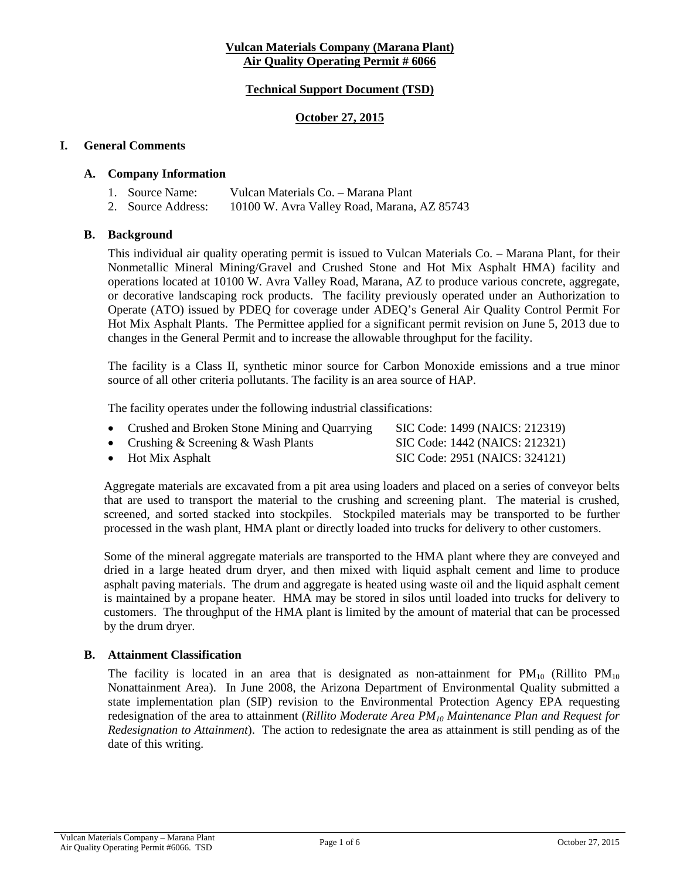#### **Vulcan Materials Company (Marana Plant) Air Quality Operating Permit # 6066**

### **Technical Support Document (TSD)**

#### **October 27, 2015**

#### **I. General Comments**

#### **A. Company Information**

| 1. Source Name:    | Vulcan Materials Co. – Marana Plant         |
|--------------------|---------------------------------------------|
| 2. Source Address: | 10100 W. Avra Valley Road, Marana, AZ 85743 |

#### **B. Background**

This individual air quality operating permit is issued to Vulcan Materials Co. – Marana Plant, for their Nonmetallic Mineral Mining/Gravel and Crushed Stone and Hot Mix Asphalt HMA) facility and operations located at 10100 W. Avra Valley Road, Marana, AZ to produce various concrete, aggregate, or decorative landscaping rock products. The facility previously operated under an Authorization to Operate (ATO) issued by PDEQ for coverage under ADEQ's General Air Quality Control Permit For Hot Mix Asphalt Plants. The Permittee applied for a significant permit revision on June 5, 2013 due to changes in the General Permit and to increase the allowable throughput for the facility.

The facility is a Class II, synthetic minor source for Carbon Monoxide emissions and a true minor source of all other criteria pollutants. The facility is an area source of HAP.

The facility operates under the following industrial classifications:

| • Crushed and Broken Stone Mining and Quarrying | SIC Code: 1499 (NAICS: 212319) |
|-------------------------------------------------|--------------------------------|
| • Crushing & Screening & Wash Plants            | SIC Code: 1442 (NAICS: 212321) |
| $\bullet$ Hot Mix Asphalt                       | SIC Code: 2951 (NAICS: 324121) |

Aggregate materials are excavated from a pit area using loaders and placed on a series of conveyor belts that are used to transport the material to the crushing and screening plant. The material is crushed, screened, and sorted stacked into stockpiles. Stockpiled materials may be transported to be further processed in the wash plant, HMA plant or directly loaded into trucks for delivery to other customers.

Some of the mineral aggregate materials are transported to the HMA plant where they are conveyed and dried in a large heated drum dryer, and then mixed with liquid asphalt cement and lime to produce asphalt paving materials. The drum and aggregate is heated using waste oil and the liquid asphalt cement is maintained by a propane heater. HMA may be stored in silos until loaded into trucks for delivery to customers. The throughput of the HMA plant is limited by the amount of material that can be processed by the drum dryer.

#### **B. Attainment Classification**

The facility is located in an area that is designated as non-attainment for  $PM_{10}$  (Rillito  $PM_{10}$ ) Nonattainment Area). In June 2008, the Arizona Department of Environmental Quality submitted a state implementation plan (SIP) revision to the Environmental Protection Agency EPA requesting redesignation of the area to attainment (*Rillito Moderate Area PM10 Maintenance Plan and Request for Redesignation to Attainment*). The action to redesignate the area as attainment is still pending as of the date of this writing.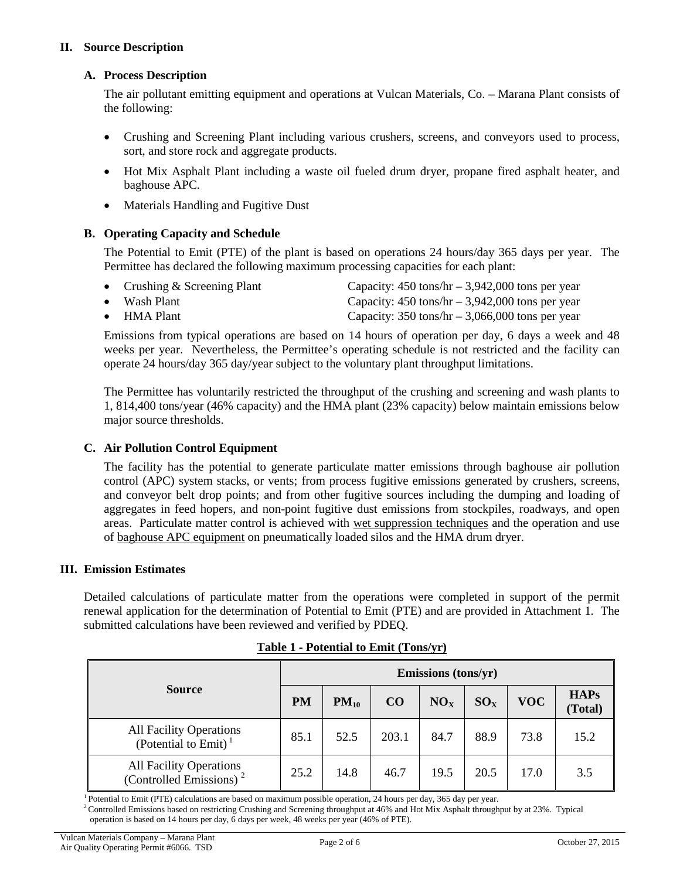### **II. Source Description**

### **A. Process Description**

The air pollutant emitting equipment and operations at Vulcan Materials, Co. – Marana Plant consists of the following:

- Crushing and Screening Plant including various crushers, screens, and conveyors used to process, sort, and store rock and aggregate products.
- Hot Mix Asphalt Plant including a waste oil fueled drum dryer, propane fired asphalt heater, and baghouse APC.
- Materials Handling and Fugitive Dust

### **B. Operating Capacity and Schedule**

The Potential to Emit (PTE) of the plant is based on operations 24 hours/day 365 days per year. The Permittee has declared the following maximum processing capacities for each plant:

| • Crushing $&$ Screening Plant | Capacity: $450 \text{ tons/hr} - 3,942,000 \text{ tons per year}$ |
|--------------------------------|-------------------------------------------------------------------|
| $\bullet$ Wash Plant           | Capacity: $450 \text{ tons/hr} - 3,942,000 \text{ tons per year}$ |
| $\bullet$ HMA Plant            | Capacity: $350 \text{ tons/hr} - 3,066,000 \text{ tons per year}$ |

Emissions from typical operations are based on 14 hours of operation per day, 6 days a week and 48 weeks per year. Nevertheless, the Permittee's operating schedule is not restricted and the facility can operate 24 hours/day 365 day/year subject to the voluntary plant throughput limitations.

The Permittee has voluntarily restricted the throughput of the crushing and screening and wash plants to 1, 814,400 tons/year (46% capacity) and the HMA plant (23% capacity) below maintain emissions below major source thresholds.

### **C. Air Pollution Control Equipment**

The facility has the potential to generate particulate matter emissions through baghouse air pollution control (APC) system stacks, or vents; from process fugitive emissions generated by crushers, screens, and conveyor belt drop points; and from other fugitive sources including the dumping and loading of aggregates in feed hopers, and non-point fugitive dust emissions from stockpiles, roadways, and open areas. Particulate matter control is achieved with wet suppression techniques and the operation and use of baghouse APC equipment on pneumatically loaded silos and the HMA drum dryer.

#### **III. Emission Estimates**

Detailed calculations of particulate matter from the operations were completed in support of the permit renewal application for the determination of Potential to Emit (PTE) and are provided in Attachment 1. The submitted calculations have been reviewed and verified by PDEQ.

|                                                                | Emissions (tons/yr) |           |       |                 |          |            |                        |  |
|----------------------------------------------------------------|---------------------|-----------|-------|-----------------|----------|------------|------------------------|--|
| <b>Source</b>                                                  | <b>PM</b>           | $PM_{10}$ | CO    | NO <sub>x</sub> | $SO_{X}$ | <b>VOC</b> | <b>HAPs</b><br>(Total) |  |
| All Facility Operations<br>(Potential to Emit) <sup>1</sup>    | 85.1                | 52.5      | 203.1 | 84.7            | 88.9     | 73.8       | 15.2                   |  |
| All Facility Operations<br>(Controlled Emissions) <sup>2</sup> | 25.2                | 14.8      | 46.7  | 19.5            | 20.5     | 17.0       | 3.5                    |  |

## **Table 1 - Potential to Emit (Tons/yr)**

1 Potential to Emit (PTE) calculations are based on maximum possible operation, 24 hours per day, 365 day per year.

<sup>2</sup> Controlled Emissions based on restricting Crushing and Screening throughput at 46% and Hot Mix Asphalt throughput by at 23%. Typical operation is based on 14 hours per day, 6 days per week, 48 weeks per year (46% of PTE).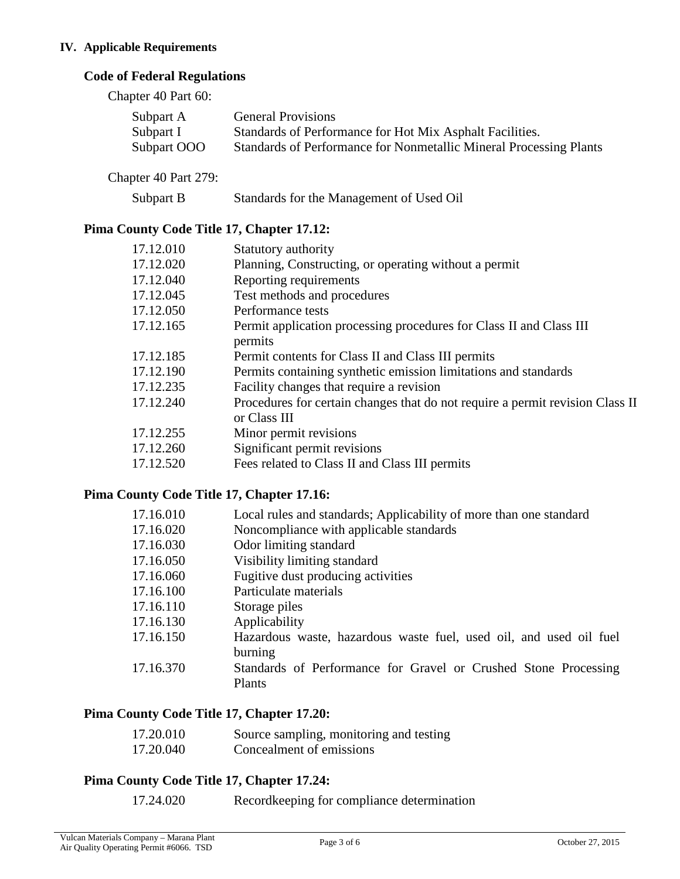### **IV. Applicable Requirements**

# **Code of Federal Regulations**

Chapter 40 Part 60:

| Subpart A   | <b>General Provisions</b>                                          |
|-------------|--------------------------------------------------------------------|
| Subpart I   | Standards of Performance for Hot Mix Asphalt Facilities.           |
| Subpart OOO | Standards of Performance for Nonmetallic Mineral Processing Plants |

Chapter 40 Part 279:

| Subpart B | Standards for the Management of Used Oil |  |
|-----------|------------------------------------------|--|
|           |                                          |  |

# **Pima County Code Title 17, Chapter 17.12:**

| Statutory authority                                                                           |
|-----------------------------------------------------------------------------------------------|
| Planning, Constructing, or operating without a permit                                         |
| Reporting requirements                                                                        |
| Test methods and procedures                                                                   |
| Performance tests                                                                             |
| Permit application processing procedures for Class II and Class III                           |
| permits                                                                                       |
| Permit contents for Class II and Class III permits                                            |
| Permits containing synthetic emission limitations and standards                               |
| Facility changes that require a revision                                                      |
| Procedures for certain changes that do not require a permit revision Class II<br>or Class III |
| Minor permit revisions                                                                        |
| Significant permit revisions                                                                  |
| Fees related to Class II and Class III permits                                                |
|                                                                                               |

# **Pima County Code Title 17, Chapter 17.16:**

| 17.16.010 | Local rules and standards; Applicability of more than one standard            |
|-----------|-------------------------------------------------------------------------------|
| 17.16.020 | Noncompliance with applicable standards                                       |
| 17.16.030 | Odor limiting standard                                                        |
| 17.16.050 | Visibility limiting standard                                                  |
| 17.16.060 | Fugitive dust producing activities                                            |
| 17.16.100 | Particulate materials                                                         |
| 17.16.110 | Storage piles                                                                 |
| 17.16.130 | Applicability                                                                 |
| 17.16.150 | Hazardous waste, hazardous waste fuel, used oil, and used oil fuel<br>burning |
| 17.16.370 | Standards of Performance for Gravel or Crushed Stone Processing               |
|           | Plants                                                                        |

# **Pima County Code Title 17, Chapter 17.20:**

| 17.20.010 | Source sampling, monitoring and testing |
|-----------|-----------------------------------------|
| 17.20.040 | Concealment of emissions                |

# **Pima County Code Title 17, Chapter 17.24:**

17.24.020 Recordkeeping for compliance determination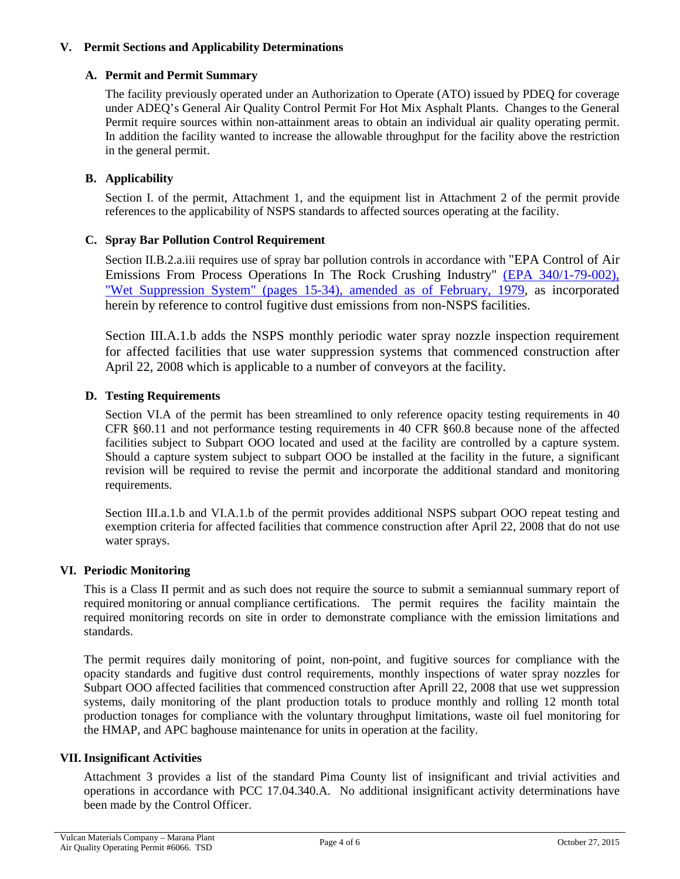### **V. Permit Sections and Applicability Determinations**

#### **A. Permit and Permit Summary**

The facility previously operated under an Authorization to Operate (ATO) issued by PDEQ for coverage under ADEQ's General Air Quality Control Permit For Hot Mix Asphalt Plants. Changes to the General Permit require sources within non-attainment areas to obtain an individual air quality operating permit. In addition the facility wanted to increase the allowable throughput for the facility above the restriction in the general permit.

### **B. Applicability**

Section I. of the permit, Attachment 1, and the equipment list in Attachment 2 of the permit provide references to the applicability of NSPS standards to affected sources operating at the facility.

### **C. Spray Bar Pollution Control Requirement**

Section II.B.2.a.iii requires use of spray bar pollution controls in accordance with "EPA Control of Air Emissions From Process Operations In The Rock Crushing Industry" [\(EPA 340/1-79-002\),](http://nepis.epa.gov/Exe/ZyNET.exe/2000F4T9.TXT?ZyActionD=ZyDocument&Client=EPA&Index=1976+Thru+1980&Docs=&Query=&Time=&EndTime=&SearchMethod=1&TocRestrict=n&Toc=&TocEntry=&QField=&QFieldYear=&QFieldMonth=&QFieldDay=&IntQFieldOp=0&ExtQFieldOp=0&XmlQuery=&File=D%3A%5Czyfiles%5CIndex%20Data%5C76thru80%5CTxt%5C00000002%5C2000F4T9.txt&User=ANONYMOUS&Password=anonymous&SortMethod=h%7C-&MaximumDocuments=1&FuzzyDegree=0&ImageQuality=r75g8/r75g8/x150y150g16/i425&Display=p%7Cf&DefSeekPage=x&SearchBack=ZyActionL&Back=ZyActionS&BackDesc=Results%20page&MaximumPages=1&ZyEntry=1&SeekPage=x&ZyPURL)  ["Wet Suppression System" \(pages 15-34\), amended as of February, 1979,](http://nepis.epa.gov/Exe/ZyNET.exe/2000F4T9.TXT?ZyActionD=ZyDocument&Client=EPA&Index=1976+Thru+1980&Docs=&Query=&Time=&EndTime=&SearchMethod=1&TocRestrict=n&Toc=&TocEntry=&QField=&QFieldYear=&QFieldMonth=&QFieldDay=&IntQFieldOp=0&ExtQFieldOp=0&XmlQuery=&File=D%3A%5Czyfiles%5CIndex%20Data%5C76thru80%5CTxt%5C00000002%5C2000F4T9.txt&User=ANONYMOUS&Password=anonymous&SortMethod=h%7C-&MaximumDocuments=1&FuzzyDegree=0&ImageQuality=r75g8/r75g8/x150y150g16/i425&Display=p%7Cf&DefSeekPage=x&SearchBack=ZyActionL&Back=ZyActionS&BackDesc=Results%20page&MaximumPages=1&ZyEntry=1&SeekPage=x&ZyPURL) as incorporated herein by reference to control fugitive dust emissions from non-NSPS facilities.

Section III.A.1.b adds the NSPS monthly periodic water spray nozzle inspection requirement for affected facilities that use water suppression systems that commenced construction after April 22, 2008 which is applicable to a number of conveyors at the facility.

### **D. Testing Requirements**

Section VI.A of the permit has been streamlined to only reference opacity testing requirements in 40 CFR §60.11 and not performance testing requirements in 40 CFR §60.8 because none of the affected facilities subject to Subpart OOO located and used at the facility are controlled by a capture system. Should a capture system subject to subpart OOO be installed at the facility in the future, a significant revision will be required to revise the permit and incorporate the additional standard and monitoring requirements.

Section III.a.1.b and VI.A.1.b of the permit provides additional NSPS subpart OOO repeat testing and exemption criteria for affected facilities that commence construction after April 22, 2008 that do not use water sprays.

#### **VI. Periodic Monitoring**

This is a Class II permit and as such does not require the source to submit a semiannual summary report of required monitoring or annual compliance certifications. The permit requires the facility maintain the required monitoring records on site in order to demonstrate compliance with the emission limitations and standards.

The permit requires daily monitoring of point, non-point, and fugitive sources for compliance with the opacity standards and fugitive dust control requirements, monthly inspections of water spray nozzles for Subpart OOO affected facilities that commenced construction after Aprill 22, 2008 that use wet suppression systems, daily monitoring of the plant production totals to produce monthly and rolling 12 month total production tonages for compliance with the voluntary throughput limitations, waste oil fuel monitoring for the HMAP, and APC baghouse maintenance for units in operation at the facility.

#### **VII. Insignificant Activities**

Attachment 3 provides a list of the standard Pima County list of insignificant and trivial activities and operations in accordance with PCC 17.04.340.A. No additional insignificant activity determinations have been made by the Control Officer.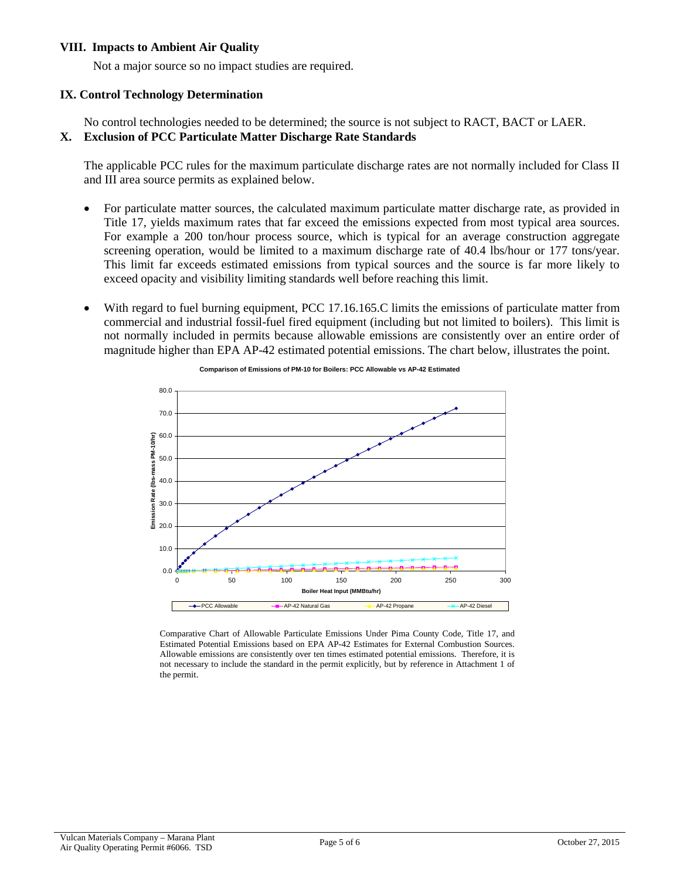#### **VIII. Impacts to Ambient Air Quality**

Not a major source so no impact studies are required.

# **IX. Control Technology Determination**

No control technologies needed to be determined; the source is not subject to RACT, BACT or LAER. **X. Exclusion of PCC Particulate Matter Discharge Rate Standards**

The applicable PCC rules for the maximum particulate discharge rates are not normally included for Class II and III area source permits as explained below.

- For particulate matter sources, the calculated maximum particulate matter discharge rate, as provided in Title 17, yields maximum rates that far exceed the emissions expected from most typical area sources. For example a 200 ton/hour process source, which is typical for an average construction aggregate screening operation, would be limited to a maximum discharge rate of 40.4 lbs/hour or 177 tons/year. This limit far exceeds estimated emissions from typical sources and the source is far more likely to exceed opacity and visibility limiting standards well before reaching this limit.
- With regard to fuel burning equipment, PCC 17.16.165.C limits the emissions of particulate matter from commercial and industrial fossil-fuel fired equipment (including but not limited to boilers). This limit is not normally included in permits because allowable emissions are consistently over an entire order of magnitude higher than EPA AP-42 estimated potential emissions. The chart below, illustrates the point.



**Comparison of Emissions of PM-10 for Boilers: PCC Allowable vs AP-42 Estimated**

Comparative Chart of Allowable Particulate Emissions Under Pima County Code, Title 17, and Estimated Potential Emissions based on EPA AP-42 Estimates for External Combustion Sources. Allowable emissions are consistently over ten times estimated potential emissions. Therefore, it is not necessary to include the standard in the permit explicitly, but by reference in Attachment 1 of the permit.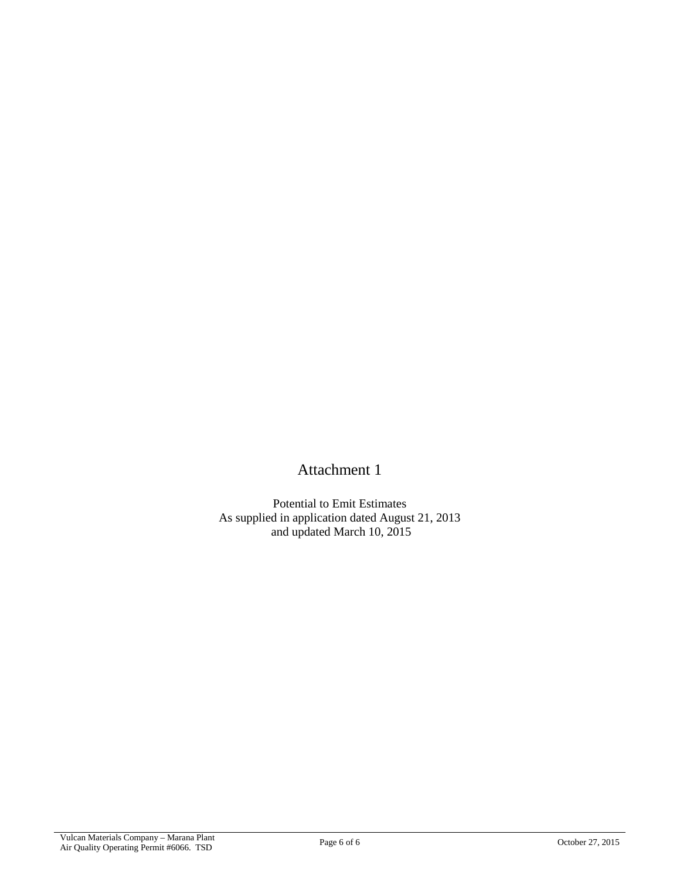Attachment 1

Potential to Emit Estimates As supplied in application dated August 21, 2013 and updated March 10, 2015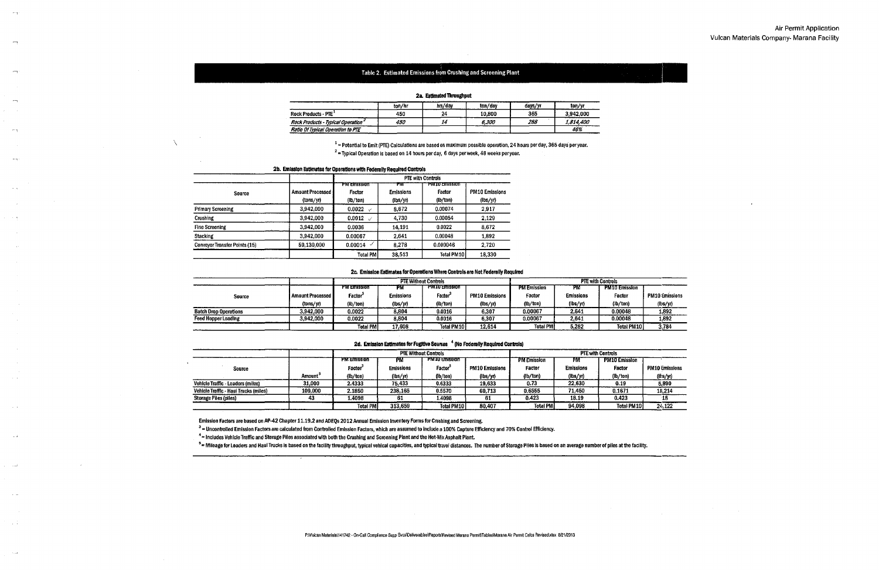#### Table 2. Estimated Emissions from Crushing and Screening Plant

| za, tsuniawi imvagnya,            |        |         |         |         |           |  |  |  |  |
|-----------------------------------|--------|---------|---------|---------|-----------|--|--|--|--|
|                                   | ton/hr | hrs/dav | ton/gay | days/yr | ton/vr    |  |  |  |  |
| Rock Products - PTE <sup>+</sup>  | 450    | 24      | 10.800  | 365     | 3.942.000 |  |  |  |  |
| Rock Products - Typical Operation | 450    | 14      | 6.300   | 288     | 1814.400  |  |  |  |  |
| Ratio Of Typical Operation to PTE |        |         |         |         | 46%       |  |  |  |  |

#### 2s Fellmated Throughnut

 $1$  = Potential to Emit (PTE) Calculations are based on maximum possible operation, 24 hours per day, 365 days per year.

 $2$  = Typical Operation is based on 14 hours per day, 6 days per week, 48 weeks per year.

|                                      |                                 | <b>PTE with Controls</b>                  |                                    |                                             |                                   |  |  |
|--------------------------------------|---------------------------------|-------------------------------------------|------------------------------------|---------------------------------------------|-----------------------------------|--|--|
| <b>Source</b>                        | Amount Processed I<br>(tons/yr) | <b>PW EINISSION</b><br>Factor<br>(lb/ton) | ŦМ<br><b>Emissions</b><br>(lbs/yr) | <b>PIVEO AMESSION</b><br>Factor<br>(lb/ton) | <b>PM10 Emissions</b><br>(lbs/yr) |  |  |
| <b>Primary Screening</b>             | 3.942,000                       | 0.0022<br>$\overline{\phantom{a}}$        | 8,672                              | 0.00074                                     | 2917                              |  |  |
| Crushing                             | 3.942,000                       | $0.0012$ /                                | 4,730                              | 0.00054                                     | 2.129                             |  |  |
| <b>Fine Screening</b>                | 3.942.000                       | 0.0036                                    | 14.191                             | 0.0022                                      | 8.672                             |  |  |
| <b>Stacking</b>                      | 3,942,000                       | 0.00067                                   | 2,641                              | 0.00048                                     | 1.892                             |  |  |
| <b>Conveyor Transfer Points (15)</b> | 59.130,000                      | 0.00014                                   | 8.278                              | 0.000046                                    | 2720                              |  |  |
|                                      |                                 | <b>Total PMI</b>                          | 38,513                             | <b>Total PM101</b>                          | 18,330                            |  |  |

#### 2b. Emission Estimates for Operations with Federally Required Controls

 $\overline{\phantom{a}}$ 

 $\overline{a}$ 

 $r - r$ 

#### 2c. Emission Estimates for Operations Where Controls are Not Federally Required

|                              |                      | <b>PTE Without Controls</b> |                  |                      |                       | <b>PTE with Controls</b> |                  |                      |
|------------------------------|----------------------|-----------------------------|------------------|----------------------|-----------------------|--------------------------|------------------|----------------------|
|                              |                      | <b>PM Emission</b>          | PM               | <b>PMIU EMISSION</b> |                       | <b>PM Emission</b>       | PM.              | <b>PM10 Emission</b> |
| <b>Source</b>                | I Amount Processed I | Factor <sup>-</sup>         | <b>Emissions</b> | Factor <sup>s</sup>  | <b>PM10 Emissions</b> | Factor                   | <b>Emissions</b> | Factor               |
|                              | (tons/yr)            | (lb/ton)                    | (lbs/yr)         | (lb/ton)             | (hs/yr)               | (lb/ton)                 | (lbs/yr)         | (lb/ton)             |
| <b>Batch Drop Operations</b> | 3.942.000            | 0.0022                      | 8.804            | 0.0016               | 6.307                 | 0.00067                  | 2.641            | 0.00048              |
| Feed Hopper Loading          | 3,942,000            | 0.0022                      | 8.804            | 0.0016               | 6.307                 | 0.00067                  | 2.641            | 0.00048              |
|                              |                      | Total PM                    | 17.608           | <b>Total PM 101</b>  | 12,614                | Total PM                 | 5,282            | Total PM10           |

|                                       |                     |                 |                  | <b>PTE Without Controls</b> |                       |                    |                  | <b>PTE with Controls</b> |                       |
|---------------------------------------|---------------------|-----------------|------------------|-----------------------------|-----------------------|--------------------|------------------|--------------------------|-----------------------|
|                                       |                     | MW Emission     | rм               | <b>PM IU Amssion</b>        |                       | <b>PM Emission</b> | PМ               | <b>PM10 Emission</b>     |                       |
| Source                                |                     | Factor          | <b>Emissions</b> | Factor <sup>3</sup>         | <b>PM10 Emissions</b> | Factor             | <b>Emissions</b> | Factor                   | <b>PM10 Emissions</b> |
|                                       | Amount <sup>°</sup> | (lb/ton)        | (lbs/yr)         | (lb/ton)                    | (lbs/yr)              | (lb/ton)           | (lbs/yr)         | (lb/ton)                 | (lts/yr)              |
| Vehicle Traffic - Loaders (miles)     | 31,000              | 2.4333          | 75,433           | 0.6333                      | 19,633                | 0.73               | 22.630           | 0.19                     | 5,890                 |
| Vehicle Traffic - Haul Trucks (miles) | 109,000             | 2.1850          | 238.165          | 0.5570                      | 60,713                | 0.6555             | 71.450           | 0.1671                   | 18,214                |
| Storage Piles (piles)                 | 43                  | 1.4098          | -61              | 1.4098                      | -61                   | 0.423              | 18.19            | 0.423                    | 18                    |
|                                       |                     | <b>Total PM</b> | 313.659          | Total PM10 l                | 80.407                | <b>Total PM</b>    | 94.098           | Total PM10               | 24,122                |

#### 2d. Emission Estimates for Fugitive Sources <sup>4</sup> (No Federally Required Controls)

Emission Factors are based on AP-42 Chapter 11.19.2 and ADEQs 2012 Annual Emission Inventory Forms for Crushing and Screening.

<sup>3</sup> = Uncontrolled Emission Factors are calculated from Controlled Emission Factors, which are assumed to include a 100% Capture Efficiency and 70% Control Efficiency.

 $4$  = Includes Vehicle Traffic and Storage Piles associated with both the Crushing and Screening Plant and the Hot-Mix Asphalt Plant.

<sup>5</sup> = Mileage for Loaders and Haul Trucks is based on the facility throughput, typical vehical capacities, and typical travel distances. The number of Storage Plies is based on an average number of piles at the facility.

### Air Permit Application Vulcan Materials Company- Marana Facility



| PM10 Emissions |
|----------------|
| (it:s/yr)      |
| 1.892          |
| 1.892          |
| 3,784          |
|                |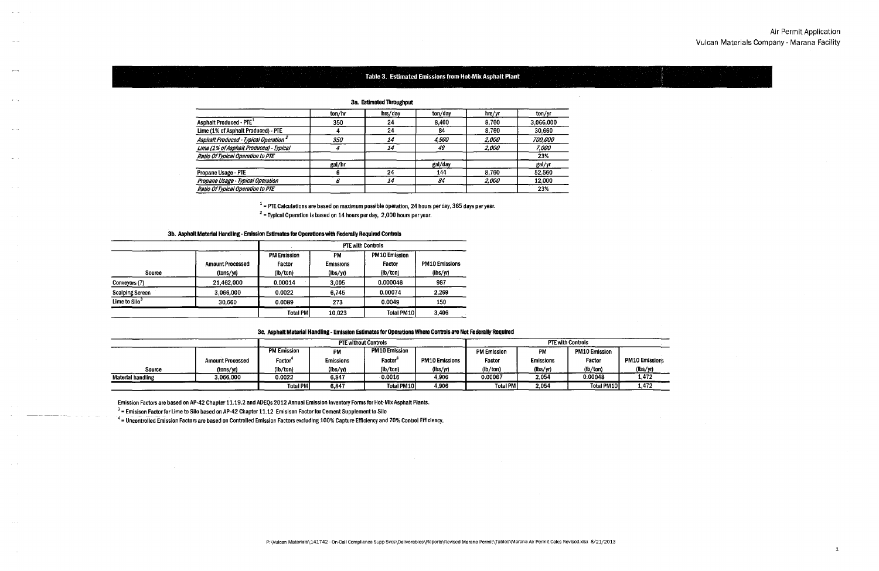

#### Table 3. Estimated Emissions from Hot-Mix Asphalt Plant i

3a. Estimated Throughput

 $1$  = PTE Calculations are based on maximum possible operation, 24 hours per day, 365 days per year.

<sup>2</sup>**=Typical Operation is based on 14 hours per day, 2,000 hours per year.** 

3b. Asphalt Material Handling - Emission Estimates for Operations with Federally Required Controls

|                        |                                      | <b>PTE with Controls</b>                 |                                           |                                            |                                                   |  |  |  |  |
|------------------------|--------------------------------------|------------------------------------------|-------------------------------------------|--------------------------------------------|---------------------------------------------------|--|--|--|--|
| Source                 | <b>Amount Processed</b><br>(tons/yr) | <b>PM Emission</b><br>Factor<br>(lb/ton) | PM<br><b>Emissions</b><br>$(\frac{1}{5})$ | <b>PM10 Emission</b><br>Factor<br>(lb/ton) | <b>PM10 Emissions</b><br>$(\text{ibs}/\text{yi})$ |  |  |  |  |
| Conveyors (7)          | 21,462,000                           | 0.00014                                  | 3,005                                     | 0.000046                                   | 987                                               |  |  |  |  |
| <b>Scalping Screen</b> | 3.066.000                            | 0.0022                                   | 6.745                                     | 0.00074                                    | 2.269                                             |  |  |  |  |
| Lime to $Silo3$        | 30.660                               | 0.0089                                   | 273                                       | 0.0049                                     | 150                                               |  |  |  |  |
|                        |                                      | <b>Total PMI</b>                         | 10.023                                    | Total PM10                                 | 3,406                                             |  |  |  |  |

|                                                   | ton/hr     | hrs/day | ton/day      | hrs/yr       | ton/yr    |
|---------------------------------------------------|------------|---------|--------------|--------------|-----------|
| <b>Asphalt Produced - PTE</b>                     | 350        | 24      | 8,400        | 8.760        | 3,066,000 |
| Lime (1% of Asphalt Produced) - PTE               |            | 24      | 84           | 8.760        | 30,660    |
| Asphalt Produced - Typical Operation <sup>2</sup> | <i>350</i> | 14      | <i>4.900</i> | <i>2.000</i> | 700.000   |
| Lime (1% of Asphalt Produced) - Typical           |            | 14      | 49           | 2.000        | 7.000     |
| Ratio Of Typical Operation to PTE                 |            |         |              |              | 23%       |
|                                                   | gal/hr     |         | gal/day      |              | gal/yr    |
| Propane Usage - PTE                               |            | 24      | 144          | 8.760        | 52,560    |
| Propane Usage - Typical Operation                 |            | 14      | 84           | <i>2.000</i> | 12.000    |
| Ratio Of Typical Operation to PTE                 |            |         |              |              | 23%       |

| 3c. Asphalt Material Handling - Emission Estimates for Operations Where Controls are Not Federally Required |  |  |  |  |  |  |
|-------------------------------------------------------------------------------------------------------------|--|--|--|--|--|--|
|-------------------------------------------------------------------------------------------------------------|--|--|--|--|--|--|

3 ... **Emisison Factor for Lime to Silo based on AP-42 Chapter 11.12 Emisison Factor for Cement Supplement to Silo** 

<sup>4</sup> = Uncontrolled Emission Factors are based on Controlled Emission Factors excluding 100% Capture Efficiency and 70% Control Efficiency.

|                          |                         |                    | <b>PTE without Controls</b> |                     |                       | <b>PTE with Controls</b> |                  |                      |                       |  |
|--------------------------|-------------------------|--------------------|-----------------------------|---------------------|-----------------------|--------------------------|------------------|----------------------|-----------------------|--|
|                          |                         | <b>PM Emission</b> | <b>PM10 Emission</b><br>PM  |                     |                       |                          | PM               | <b>PM10 Emission</b> |                       |  |
|                          | <b>Amount Processed</b> | Factor             | <b>Emissions</b>            | Factor <sup>®</sup> | <b>PM10 Emissions</b> | Factor                   | <b>Emissions</b> | Factor               | <b>PM10 Emissions</b> |  |
| Source                   | (tons/yr)               | (lb/ton)           | $(\frac{1}{5})$             | (lb/ton)            | (hs/yr)               | (lb/ton)                 | (lbs/yr)         | (lb/ton)             | (lbs/yr)              |  |
| <b>Material handling</b> | 3.066.000               | 0.0022             | 6.847                       | 0.0016              | 4.906                 | 0.00067                  | 2.054            | 0.00048              | 1.472                 |  |
|                          |                         | <b>Total PM</b>    | 6,847                       | Total PM10          | 4.906                 | <b>Total PM</b>          | 2.054            | <b>Total PM101</b>   | 1.472                 |  |

Emission Factors are based on AP-42 Chapter 11.19.2 and ADEQs 2012 Annual Emission Inventory Forms for Hot-Mix Asphalt Plants.

# Air Permit Application Vulcan Materials Company- Marana Facility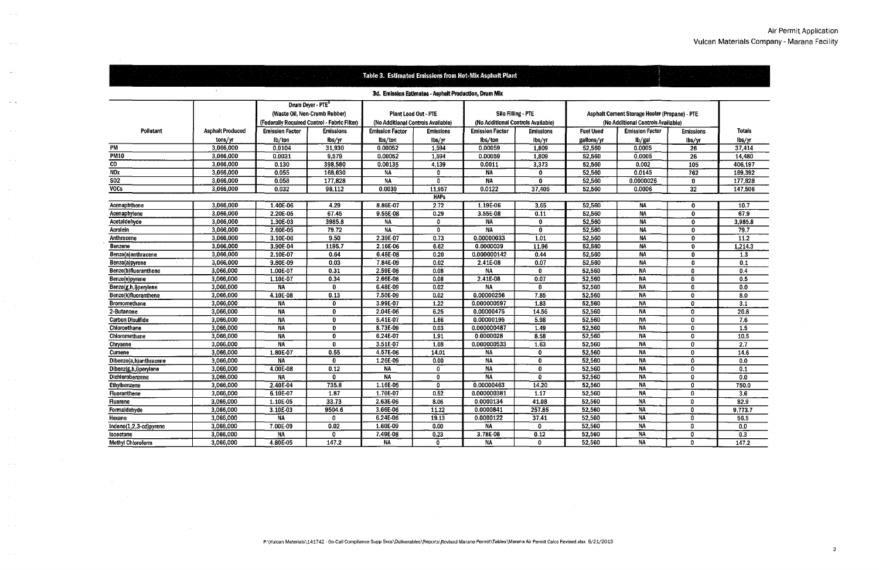|                          |                         |                        |                                                                                                                |                                    |                                                       | Table 3. Estimated Emissions from Hot-Mix Asphalt Plant |                                                          |                  |                                                                                     |                  |                  |
|--------------------------|-------------------------|------------------------|----------------------------------------------------------------------------------------------------------------|------------------------------------|-------------------------------------------------------|---------------------------------------------------------|----------------------------------------------------------|------------------|-------------------------------------------------------------------------------------|------------------|------------------|
|                          |                         |                        |                                                                                                                |                                    | 3d. Emission Estimates - Asphalt Production, Drum Mix |                                                         |                                                          |                  |                                                                                     |                  |                  |
|                          |                         |                        | Drum Dryer - PTE <sup>5</sup><br>(Waste Oil, Non-Crumb Rubber)<br>(Federally Required Control - Fabric Filter) | (No Additional Controls Available) | <b>Plant Load Out - PTE</b>                           |                                                         | Silo Filling - PTE<br>(No Additional Controls Available) |                  | Asphalt Cement Storage Heater (Propane) - PTE<br>(No Additional Controls Available) |                  |                  |
| Pollutant                | <b>Asphalt Produced</b> | <b>Emission Factor</b> | <b>Emissions</b>                                                                                               | <b>Emission Factor</b>             | <b>Emissions</b>                                      | <b>Emission Factor</b>                                  | <b>Emissions</b>                                         | <b>Fuel Used</b> | <b>Emission Factor</b>                                                              | <b>Emissions</b> | <b>Totals</b>    |
|                          | tons/yr                 | lb/ton                 | lbs/yr                                                                                                         | lbs/ton                            | lbs/yr                                                | lbs/ton                                                 | lbs/yr                                                   | gallons/yr       | lb/gal                                                                              | lbs/yr           | lbs/yr           |
| PM                       | 3,066,000               | 0.0104                 | 31,930                                                                                                         | 0.00052                            | 1,594                                                 | 0.00059                                                 | 1,809                                                    | 52,560           | 0.0005                                                                              | 26               | 37,414           |
| <b>PM10</b>              | 3,066,000               | 0.0031                 | 9,579                                                                                                          | 0.00052                            | 1,594                                                 | 0.00059                                                 | 1,809                                                    | 52,560           | 0.0005                                                                              | 26               | 14,480           |
| CO.                      | 3,066,000               | 0.130                  | 398,580                                                                                                        | 0.00135                            | 4,139                                                 | 0.0011                                                  | 3,373                                                    | 52,560           | 0.002                                                                               | 105              | 406,197          |
| NOx                      | 3,066,000               | 0.055                  | 168,630                                                                                                        | ΝA                                 | n                                                     | ΝA                                                      | 0                                                        | 52,560           | 0.0145                                                                              | 762              | 169,392          |
| $\overline{502}$         | 3,066,000               | 0.058                  | 177,828                                                                                                        | ΝA                                 | n                                                     | NA                                                      | 0                                                        | 52,560           | 0.0000026                                                                           | 0                | 177,828          |
| <b>VOCs</b>              | 3,066,000               | 0.032                  | 98,112                                                                                                         | 0.0039                             | 11,957                                                | 0.0122                                                  | 37,405                                                   | 52,560           | 0.0006                                                                              | 32               | 147,506          |
|                          |                         |                        |                                                                                                                |                                    | <b>HAPs</b>                                           |                                                         |                                                          |                  |                                                                                     |                  |                  |
| Acenaphthene             | 3,066,000               | 1.40E-06               | 4.29                                                                                                           | 8.86E-07                           | 2.72                                                  | 1.19E-06                                                | 3.65                                                     | 52,560           | <b>NA</b>                                                                           | 0                | 10.7             |
| Acenaphylene             | 3,066,000               | 2.20E-05               | 67.45                                                                                                          | 9.55E-08                           | 0.29                                                  | 3.55E-08                                                | 0.11                                                     | 52,560           | <b>NA</b>                                                                           | $\mathbf 0$      | 67.9             |
| Acetaldehyde             | 3,066,000               | 1.30E-03               | 3985.8                                                                                                         | NA                                 | -0                                                    | NA                                                      | $\mathbf{0}$                                             | 52,560           | <b>NA</b>                                                                           | $\mathbf 0$      | 3,985.8          |
| <b>Acrolein</b>          | 3,066,000               | 2.60E-05               | 79.72                                                                                                          | NA                                 | $\mathbf{0}$                                          | NA                                                      | $\mathbf 0$                                              | 52,560           | <b>NA</b>                                                                           | $\mathbf 0$      | 79.7             |
| Anthracene               | 3,066,000               | 3.10E-06               | 9.50                                                                                                           | 2.39E-07                           | 0.73                                                  | 0.00000033                                              | 1.01                                                     | 52,560           | <b>NA</b>                                                                           | 0                | 11.2             |
| Benzene                  | 3,066,000               | 3.90E-04               | 1195.7                                                                                                         | 2.16E-06                           | 6.62                                                  | 0.0000039                                               | 11.96                                                    | 52,560           | <b>NA</b>                                                                           | 0                | 1,214.3          |
| Benzo(a)anthracene       | 3,066,000               | 2.10E-07               | 0.64                                                                                                           | 6.48E-08                           | 0.20                                                  | 0.000000142                                             | 0.44                                                     | 52,560           | <b>NA</b>                                                                           | $\mathbf{0}$     | 1.3              |
| Benzo(a)pyrene           | 3,066,000               | 9.80E-09               | 0.03                                                                                                           | 7.84E-09                           | 0.02                                                  | 2.41E-08                                                | 0.07                                                     | 52,560           | <b>NA</b>                                                                           | 0                | 0.1              |
| Benzo(b)fluoranthene     | 3,066,000               | 1.00E-07               | 0.31                                                                                                           | 2.59E-08                           | 0.08                                                  | <b>NA</b>                                               | 0                                                        | 52,560           | <b>NA</b>                                                                           | $\mathbf{0}$     | 0.4              |
| Benzo(e)pyrene           | 3,066,000               | 1.10E-07               | 0.34                                                                                                           | 2.66E-08                           | 0.08                                                  | 2.41E-08                                                | 0.07                                                     | 52,560           | <b>NA</b>                                                                           | $\mathbf{0}$     | 0.5              |
| Benzo(g,h,i)perylene     | 3,066,000               | NA.                    | n                                                                                                              | 6.48E-09                           | 0.02                                                  | <b>NA</b>                                               | 0                                                        | 52,560           | <b>NA</b>                                                                           | $\mathbf{0}$     | 0.0              |
| Benzo(k)fluoranthene     | 3,066,000               | 4.10E-08               | 0.13                                                                                                           | 7.50E-09                           | 0.02                                                  | 0.00000256                                              | 7.85                                                     | 52,560           | <b>NA</b>                                                                           | $\mathbf{0}$     | 80               |
| <b>Bromomethane</b>      | 3,066,000               | NА                     | 0                                                                                                              | 3.99E-07                           | 1.22                                                  | 0.000000597                                             | 1.83                                                     | 52,560           | <b>NA</b>                                                                           | $\mathbf{0}$     | 3.1              |
| 2-Butanone               | 3,066,000               | <b>NA</b>              | 0                                                                                                              | 2.04E-06                           | 6.25                                                  | 0.00000475                                              | 14.56                                                    | 52,560           | <b>NA</b>                                                                           | $\mathbf 0$      | 20.8             |
| <b>Carbon Disulfide</b>  | 3,066,000               | <b>NA</b>              | n                                                                                                              | 5.41E-07                           | 1.66                                                  | 0.00000195                                              | 5.98                                                     | 52,560           | <b>NA</b>                                                                           | $\mathbf 0$      | 7.6              |
| Chloroethane             | 3,066,000               | <b>NA</b>              | 0                                                                                                              | 8.73E-09                           | 0.03                                                  | 0.000000487                                             | 1.49                                                     | 52,560           | <b>NA</b>                                                                           | $\mathbf{0}$     | 1.5              |
| Chloromethane            | 3,066,000               | NA                     | 0                                                                                                              | 6.24E-07                           | 1.91                                                  | 0.0000028                                               | 8.58                                                     | 52,560           | <b>NA</b>                                                                           | $\mathbf 0$      | 10.5             |
| Chrysene                 | 3,066,000               | <b>NA</b>              | $\mathbf{0}$                                                                                                   | 3.51E-07                           | 1.08                                                  | 0.000000533                                             | 1.63                                                     | 52,560           | <b>NA</b>                                                                           | $\mathbf{0}$     | 2.7              |
| <b>Cumene</b>            | 3,066,000               | 1.80E-07               | 0.55                                                                                                           | 4.57E-06                           | 14.01                                                 | <b>NA</b>                                               | $\Omega$                                                 | 52,560           | NA                                                                                  | $\mathbf 0$      | 14.6             |
| Dibenzo(a,h)anthracene   | 3,066,000               | NA.                    | $\Omega$                                                                                                       | 1.26E-09                           | 0.00                                                  | <b>NA</b>                                               | $\mathbf{0}$                                             | 52,560           | <b>NA</b>                                                                           | $\mathbf 0$      | 0.0 <sub>1</sub> |
| Dibenz(g,h,i)perylene    | 3,066,000               | 4.00E-08               | 0.12                                                                                                           | NΑ                                 | $\mathbf 0$                                           | NΑ                                                      | 0                                                        | 52,560           | <b>NA</b>                                                                           | $\mathbf{0}$     | 0.1              |
| <b>Dichlorobenzene</b>   | 3,066,000               | <b>NA</b>              | -0                                                                                                             | <b>NA</b>                          | 0                                                     | <b>NA</b>                                               | 0                                                        | 52,560           | <b>NA</b>                                                                           | $\mathbf{0}$     | 0.0              |
| Ethylbenzene             | 3,066,000               | 2.40E-04               | 735.8                                                                                                          | 1.16E-05                           | $\Omega$                                              | 0.00000463                                              | 14.20                                                    | 52,560           | NA                                                                                  | $\mathbf{0}$     | 750.0            |
| Fluoranthene             | 3,066,000               | 6.10E-07               | 1.87                                                                                                           | 1.70E-07                           | 0.52                                                  | 0.000000381                                             | 1.17                                                     | 52,560           | NA.                                                                                 | 0                | 3.6              |
| <b>Fluorene</b>          | 3,066,000               | 1.10E-05               | 33.73                                                                                                          | 2.63E-06                           | 8.06                                                  | 0.0000134                                               | 41.08                                                    | 52,560           | $\overline{NA}$                                                                     | $\mathbf{0}$     | 82.9             |
| Formaldehyde             | 3,066,000               | 3.10E-03               | 9504.6                                                                                                         | 3.66E-06                           | 11.22                                                 | 0.0000841                                               | 257.85                                                   | 52,560           | <b>NA</b>                                                                           | 0                | 9.773.7          |
| Hexane                   | 3,066,000               | NA                     | $\bf{0}$                                                                                                       | 6.24E-06                           | 19.13                                                 | 0.0000122                                               | 37.41                                                    | 52.560           | <b>NA</b>                                                                           | $\mathbf{0}$     | 56.5             |
| Indeno(1,2,3-cd)pyrene   | 3,066,000               | 7.00E-09               | 0.02                                                                                                           | 1.60E-09                           | 0.00                                                  | NA                                                      | 0                                                        | 52,560           | <b>NA</b>                                                                           | $\mathbf{0}$     | 0.0              |
| Isooctane                | 3,066,000               | <b>NA</b>              | $\bf{0}$                                                                                                       | 7.49E-08                           | 0.23                                                  | 3.78E-08                                                | 0.12                                                     | 52,560           | <b>NA</b>                                                                           | $\mathbf{0}$     | $\overline{0.3}$ |
| <b>Methyl Chloroform</b> | 3,066,000               | 4.80E-05               | 147.2                                                                                                          | <b>NA</b>                          | $\mathbf 0$                                           | <b>NA</b>                                               | $\mathbf 0$                                              | 52,560           | <b>NA</b>                                                                           | $\mathbf{0}$     | 147.2            |

 $\sim$   $\sim$ 

 $\sim$   $\sim$ 

 $\overline{a}$ 

 $\sim$   $\sim$ 

 $\sim$ 

 $\sim$   $\sim$ 

 $\sim$ 

 $\sim$ 

 $\sim$   $\sim$ 

 $\sim 10$ 

 $\alpha = \alpha$ 

 $\sim$ 

# Air Permit Application Vulcan Materials Company - Marana Facility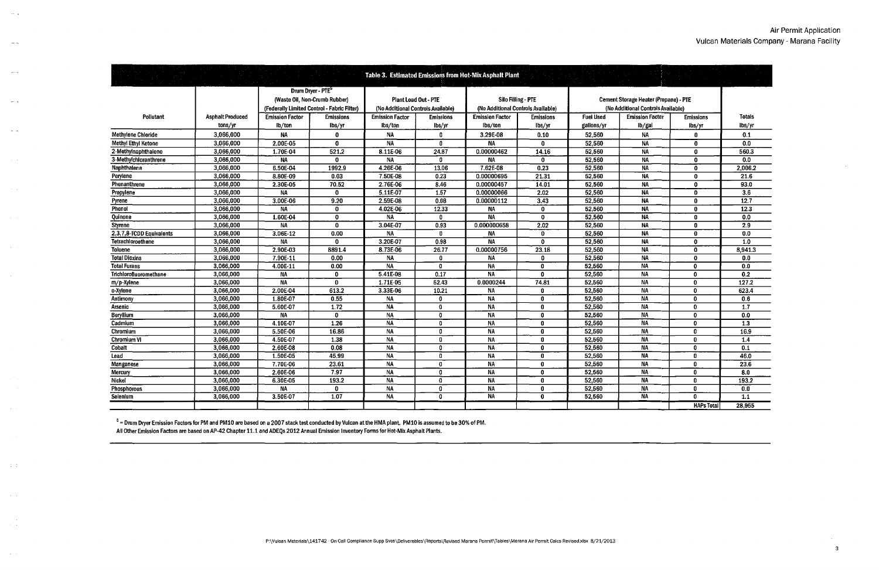|                            |                         |                        |                                             |                        |                                    | Table 3. Estimated Emissions from Hot-Mix Asphalt Plant |                                    |                  |                                              |                   |                   |
|----------------------------|-------------------------|------------------------|---------------------------------------------|------------------------|------------------------------------|---------------------------------------------------------|------------------------------------|------------------|----------------------------------------------|-------------------|-------------------|
|                            |                         |                        | Drum Dryer - PTE <sup>5</sup>               |                        |                                    |                                                         |                                    |                  |                                              |                   |                   |
|                            |                         |                        | (Waste Oil, Non-Crumb Rubber)               |                        | <b>Plant Load Out - PTE</b>        |                                                         | <b>Silo Filling - PTE</b>          |                  | <b>Cement Storage Heater (Propane) - PTE</b> |                   |                   |
|                            |                         |                        | (Federally Limited Control - Fabric Filter) |                        | (No Additional Controls Available) |                                                         | (No Additional Controls Available) |                  | (No Additional Controls Available)           |                   |                   |
| Pollutant                  | <b>Asphalt Produced</b> | <b>Emission Factor</b> | Emissions                                   | <b>Emission Factor</b> | <b>Emissions</b>                   | <b>Emission Factor</b>                                  | <b>Emissions</b>                   | <b>Fuel Used</b> | <b>Emission Factor</b>                       | <b>Emissions</b>  | Totals            |
|                            | tons/yr                 | lb/ton                 | lbs/yr                                      | lbs/ton                | lbs/yr                             | lbs/ton                                                 | lbs/yr                             | gallons/yr       | lb/gal                                       | ibs/yr            | lbs/vr            |
| <b>Methylene Chloride</b>  | 3,066,000               | NA                     | 0                                           | <b>NA</b>              | $\mathbf{0}$                       | 3.29E-08                                                | 0.10                               | 52,560           | <b>NA</b>                                    | $\bf{0}$          | 0.1               |
| <b>Methyl Ethyl Ketone</b> | 3,066,000               | 2.00E-05               | $\mathbf{0}$                                | <b>NA</b>              | $\mathbf{0}$                       | <b>NA</b>                                               | $\mathbf{0}$                       | 52,560           | <b>NA</b>                                    | $\bf{0}$          | 0.0               |
| 2-Methylnaphthalene        | 3.066.000               | 1.70E-04               | 521.2                                       | 8.11E-06               | 24.87                              | 0.00000462                                              | 14.16                              | 52,560           | NA                                           | $\bf{0}$          | 560.3             |
| 3-Methylchloranthrene      | 3,066,000               | <b>NA</b>              | $\Omega$                                    | <b>NA</b>              | 0                                  | <b>NA</b>                                               | 0.                                 | 52,560           | <b>NA</b>                                    | 0                 | 0.0               |
| Naphthalene                | 3,066,000               | 6.50E-04               | 1992.9                                      | $4,26E-06$             | 13.06                              | 7.62E-08                                                | 0.23                               | 52,560           | <b>NA</b>                                    | $\Omega$          | 2,006.2           |
| Perylene                   | 3,066,000               | 8.80E-09               | 0.03                                        | 7.50E-08               | 0.23                               | 0.00000695                                              | 21.31                              | 52,560           | <b>NA</b>                                    | 0                 | 21.6              |
| Phenanthrene               | 3,066,000               | 2.30E-05               | 70.52                                       | 2.76E-06               | 8.46                               | 0.00000457                                              | 14.01                              | 52,560           | NA                                           | $\mathbf{0}$      | 93.0              |
| Propylene                  | 3,066,000               | <b>NA</b>              | $\Omega$                                    | $5.11E-07$             | 1.57                               | 0.00000066                                              | 2.02                               | 52,560           | <b>NA</b>                                    | $\Omega$          | 3.6               |
| Pyrene                     | 3.066.000               | 3.00E-06               | 9.20                                        | 2.59E-08               | 0.08                               | 0.00000112                                              | 3.43                               | 52,560           | <b>NA</b>                                    | $\Omega$          | $\overline{12.7}$ |
| Phenol                     | 3,066,000               | <b>NA</b>              | $\mathbf{0}$                                | 4.02E-06               | 12.33                              | <b>NA</b>                                               | $\mathbf{0}$                       | 52,560           | <b>NA</b>                                    | $\bf{0}$          | $\overline{12.3}$ |
| Quinone                    | 3,066,000               | 1.60E-04               | $\mathbf{0}$                                | <b>NA</b>              | $\mathbf{n}$                       | <b>NA</b>                                               | $\Omega$                           | 52,560           | <b>NA</b>                                    | $\mathbf{0}$      | 0.0               |
| <b>Styrene</b>             | 3,066,000               | <b>NA</b>              | $\mathbf{0}$                                | $3.04E-07$             | 0.93                               | 0.000000658                                             | 2.02                               | 52,560           | <b>NA</b>                                    | 0                 | 2.9               |
| 2,3,7,8-TCDD Equivalents   | 3,066,000               | 3.06E-12               | 0.00                                        | <b>NA</b>              | $\mathbf{a}$                       | NA                                                      | $\mathbf{0}$                       | 52,560           | <b>NA</b>                                    | $\mathbf{0}$      | 0.0               |
| <b>Tetrachloroethene</b>   | 3,066,000               | <b>NA</b>              | $\mathbf{0}$                                | 3.20E-07               | 0.98                               | <b>NA</b>                                               | 0                                  | 52,560           | <b>NA</b>                                    | 0                 | 1.0               |
| <b>Toluene</b>             | 3,066,000               | 2.90E-03               | 8891.4                                      | 8.73E-06               | 26.77                              | 0.00000756                                              | 23.18                              | 52,560           | <b>NA</b>                                    | 0                 | 8,941.3           |
| <b>Total Dioxins</b>       | 3,066,000               | 7.90E-11               | 0.00                                        | <b>NA</b>              | -0                                 | <b>NA</b>                                               | 0                                  | 52,560           | <b>NA</b>                                    | 0                 | 0.0               |
| <b>Total Furans</b>        | 3,066,000               | 4.00E-11               | 0.00                                        | <b>NA</b>              | $\mathbf{0}$                       | NA                                                      | $\mathbf{0}$                       | 52,560           | <b>NA</b>                                    | $\mathbf{0}$      | 0.0               |
| Trichlorofluoromethane     | 3,066,000               | <b>NA</b>              | $\mathbf{0}$                                | 5.41E-08               | 0.17                               | <b>NA</b>                                               | $\mathbf{0}$                       | 52,560           | <b>NA</b>                                    | 0                 | 0.2               |
| m/p-Xylene                 | 3,066,000               | <b>NA</b>              | $\mathbf{0}$                                | 1.71E-05               | 52.43                              | 0.0000244                                               | 74.81                              | 52,560           | <b>NA</b>                                    | 0                 | 127.2             |
| o-Xylene                   | 3,066,000               | 2.00E-04               | 613.2                                       | 3.33E 06               | 10.21                              | <b>NA</b>                                               | $\mathbf{u}$                       | 52,560           | NA                                           | 0                 | 623.4             |
| Antimony                   | 3,066,000               | 1.80E-07               | 0.55                                        | <b>NA</b>              | $\mathbf{a}$                       | <b>NA</b>                                               | $\mathbf{u}$                       | 52,560           | <b>NA</b>                                    | 0                 | 0.6               |
| Arsenic                    | 3.066.000               | 5.60E-07               | 1.72                                        | <b>NA</b>              | $\Omega$                           | NA                                                      | $\mathbf{u}$                       | 52,560           | <b>NA</b>                                    | 0                 | 1.7               |
| Beryllium                  | 3,066,000               | <b>NA</b>              | $\mathbf{0}$                                | <b>NA</b>              | $\Omega$                           | <b>NA</b>                                               | $\mathbf{r}$                       | 52,560           | $N_A$                                        | 0                 | 0.0               |
| Cadmium                    | 3,066,000               | 4.10E-07               | 1.26                                        | <b>NA</b>              | $\mathbf{0}$                       | NA                                                      | 0                                  | 52,560           | <b>NA</b>                                    | 0                 | $\overline{1.3}$  |
| Chromium                   | 3,066,000               | 5.50E-06               | 16.86                                       | <b>NA</b>              | $\mathbf n$                        | <b>NA</b>                                               | $\mathbf{0}$                       | 52,560           | <b>NA</b>                                    | 0                 | 16.9              |
| <b>Chromium VI</b>         | 3.066.000               | 4.50E-07               | 1.38                                        | <b>NA</b>              | $\mathbf{0}$                       | NA                                                      | $\mathbf{u}$                       | 52,560           | <b>NA</b>                                    | 0                 | 1.4               |
| Cobalt                     | 3,066,000               | 2.60E-08               | 0.08                                        | <b>NA</b>              | $\mathbf{0}$                       | <b>NA</b>                                               | $\Omega$                           | 52,560           | <b>NA</b>                                    | 0                 | 0.1               |
| Lead                       | 3,066,000               | 1.50E-05               | 45.99                                       | <b>NA</b>              | 0                                  | NA                                                      | $\mathbf{u}$                       | 52,560           | <b>NA</b>                                    | 0                 | 46.0              |
| <b>Manganese</b>           | 3,066,000               | 7.70E-06               | 23.61                                       | <b>NA</b>              | $\mathbf{0}$                       | <b>NA</b>                                               | $\mathbf{0}$                       | 52,560           | <b>NA</b>                                    | $\mathbf{0}$      | 23.6              |
| Mercurv                    | 3,066,000               | 2.60E-06               | 7.97                                        | <b>NA</b>              | -0.                                | NA                                                      | $\mathbf{a}$                       | 52,560           | <b>NA</b>                                    | 0                 | 8.0               |
| Nickel                     | 3,066,000               | 6.30E-05               | 193.2                                       | <b>NA</b>              | $\Omega$                           | NA                                                      | $\mathbf{a}$                       | 52,560           | <b>NA</b>                                    | 0                 | 193.2             |
| <b>Phosphorous</b>         | 3,066,000               | <b>NA</b>              | $\mathbf{0}$                                | <b>NA</b>              | 0                                  | <b>NA</b>                                               | $\mathbf{0}$                       | 52,560           | <b>NA</b>                                    | 0                 | 0.0               |
| Selenium                   | 3,066,000               | 3.50E-07               | 1.07                                        | <b>NA</b>              | $\Omega$                           | <b>NA</b>                                               | $\mathbf{0}$                       | 52,560           | <b>NA</b>                                    | <b>n</b>          | $\overline{1.1}$  |
|                            |                         |                        |                                             |                        |                                    |                                                         |                                    |                  |                                              | <b>HAPs Total</b> | 28.955            |

 $^{\rm 5}$  = Drum Dryer Emission Factors for PM and PM10 are based on a 2007 stack test conducted by Vulcan at the HMA plant. PM10 is assumed to be 30% of PM. All Other Emission Factors are based on AP-42 Chapter 11.1 and ADEQs 2012 Annual Emission Inventory Fonns for Hot-Mix Asphalt Plants.

 $\sim$   $\sim$ 

 $\sim$ 

 $\sim$ 

 $\sim$   $\sim$ 

 $\sim$   $\sim$ 

 $\sim 10$ 

 $\sim$ 

 $\sim$ 

 $\sim 10^6$ 

 $\sim$   $\sim$ 

 $\sim 10^{-1}$  k  $^{-1}$ 

 $\sim$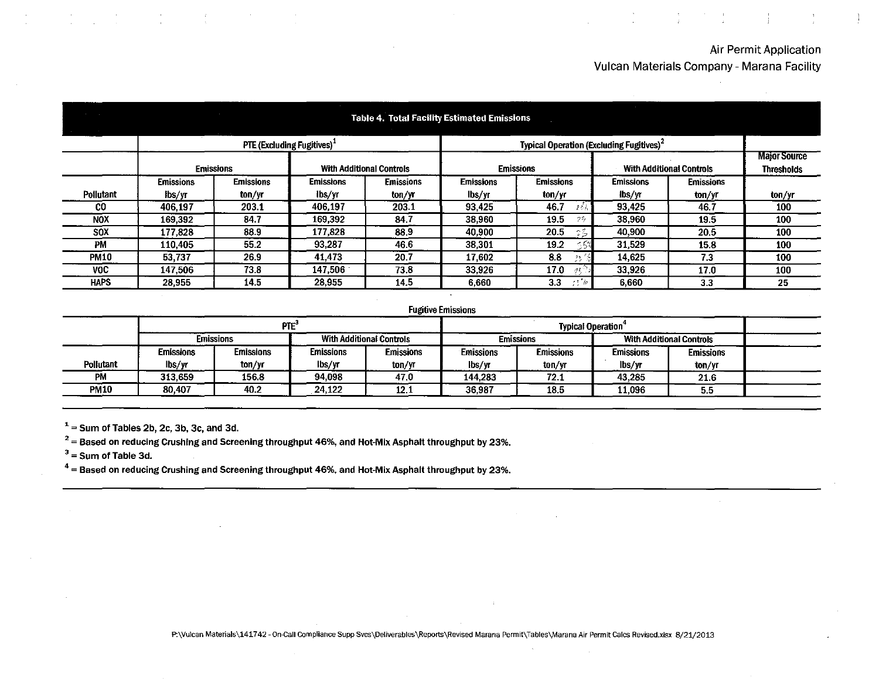### Air Permit Application

Vulcan Materials Company- Marana Facility

|             |                  |                  |                                                     |                                 | <b>Table 4. Total Facility Estimated Emissions</b> |                                                      |                  |                                 |                                          |
|-------------|------------------|------------------|-----------------------------------------------------|---------------------------------|----------------------------------------------------|------------------------------------------------------|------------------|---------------------------------|------------------------------------------|
|             |                  |                  | PTE (Excluding Fugitives) <sup><math>+</math></sup> |                                 |                                                    | Typical Operation (Excluding Fugitives) <sup>2</sup> |                  |                                 |                                          |
|             |                  | <b>Emissions</b> |                                                     | <b>With Additional Controls</b> |                                                    | <b>Emissions</b>                                     |                  | <b>With Additional Controls</b> | <b>Major Source</b><br><b>Thresholds</b> |
|             | <b>Emissions</b> | <b>Emissions</b> | Emissions                                           | <b>Emissions</b>                | <b>Emissions</b>                                   | <b>Emissions</b>                                     | <b>Emissions</b> | <b>Emissions</b>                |                                          |
| Pollutant   | lbs/yr           | ton/yr           | lbs/yr                                              | ton/yr                          | lbs/yr                                             | ton/yr                                               | lbs/yr           | ton/yr                          | ton/vr                                   |
| CO.         | 406.197          | 203.1            | 406.197                                             | 203.1                           | 93,425                                             | 46.7<br>2 Z.J                                        | 93.425           | 46.7                            | 100                                      |
| <b>NOX</b>  | 169,392          | 84.7             | 169,392                                             | 84.7                            | 38,960                                             | 19.5<br>72,                                          | 38,960           | 19.5                            | 100                                      |
| <b>SOX</b>  | 177.828          | 88.9             | 177,828                                             | 88.9                            | 40,900                                             | 20.5<br>25                                           | 40,900           | 20.5                            | 100                                      |
| PM          | 110,405          | 55.2             | 93,287                                              | 46.6                            | 38,301                                             | 19.2                                                 | 31.529           | 15.8                            | 100                                      |
| <b>PM10</b> | 53.737           | 26.9             | 41.473                                              | 20.7                            | 17,602                                             | 8.8<br>-22                                           | 14.625           | 7.3                             | 100                                      |
| VOC.        | 147,506          | 73.8             | 147.506                                             | 73.8                            | 33.926                                             | 17.0<br>$\mathcal{A}$                                | 33,926           | 17.0                            | 100                                      |
| HAPS.       | 28,955           | 14.5             | 28,955                                              | 14.5                            | 6,660                                              | 3.3<br>756                                           | 6.660            | 3.3                             | 25                                       |

#### **Fugitive Emissions**

|             |                                                     | <b>PTE</b>       |           |                  |                  |                  |                  |                  |  |
|-------------|-----------------------------------------------------|------------------|-----------|------------------|------------------|------------------|------------------|------------------|--|
|             | <b>With Additional Controls</b><br><b>Emissions</b> |                  |           |                  | <b>Emissions</b> |                  |                  |                  |  |
|             | <b>Emissions</b>                                    | <b>Emissions</b> | Emissions | <b>Emissions</b> | <b>Emissions</b> | <b>Emissions</b> | <b>Emissions</b> | <b>Emissions</b> |  |
| Pollutant   | lbs/yr                                              | ton/yr           | lbs/yr    | ton/yr           | lbs/yr           | ton/yr           | lbs/yr           | ton/yr           |  |
| PM          | 313.659                                             | 156.8            | 94,098    | 47.0             | 144.283          | 72.1             | 43,285           | 21.6             |  |
| <b>PM10</b> | 80.407                                              | 40.2             | 24,122    | 12.1             | 36,987           | 18.5             | 11.096           | 5.5              |  |

 $1=$  Sum of Tables 2b, 2c, 3b, 3c, and 3d.

 $2^2$  = Based on reducing Crushing and Screening throughput 46%, and Hot-Mix Asphalt throughput by 23%.

 $3 =$ Sum of Table 3d.

<sup>4</sup>= **Based on reducing Crushing and Screening throughput 46%, and Hot-Mix Asphalt throughput by 23%.**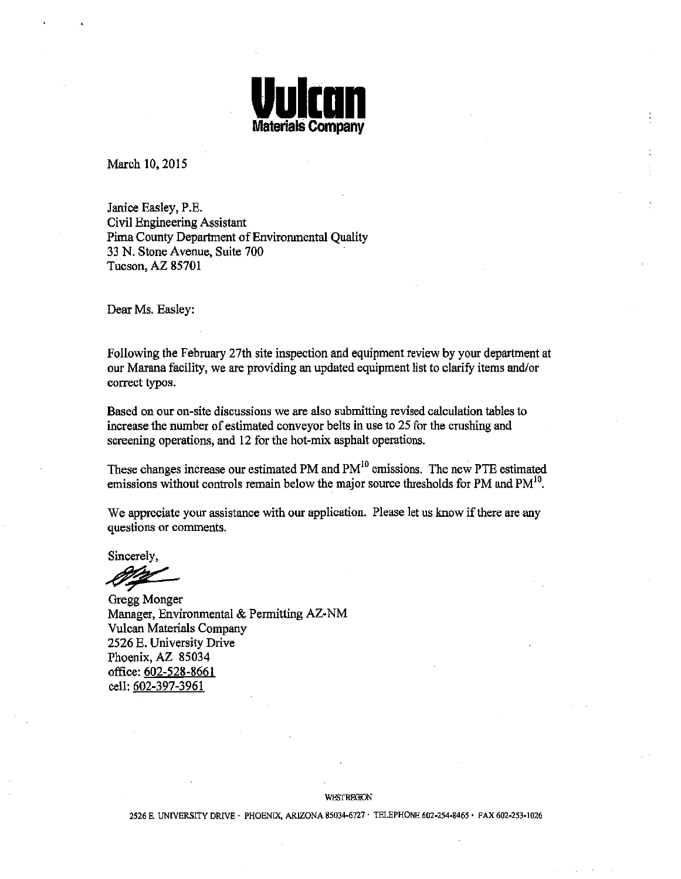

March 10, 2015

Janice Easley, P.E. Civil Engineering Assistant Pima County Department of Environmental Quality 33 N. Stone Avenue, Suite 700 Tucson, AZ 85701

Dear Ms. Easley:

Following the February 27th site inspection and equipment review by your department at our Marana facility, we are providing an updated equipment list to clarify items and/or correct typos.

Based on our on-site discussions we are also submitting revised calculation tables to increase the number of estimated conveyor belts in use to 25 for the crushing and screening operations, and 12 for the hot-mix asphalt operations.

These changes increase our estimated PM and  $PM<sup>10</sup>$  emissions. The new PTE estimated emissions without controls remain below the major source thresholds for PM and  $PM^{10}$ .

We appreciate your assistance with our application. Please let us know if there are any questions or comments.

Sincerely,

 $27/$ 

Gregg Monger Manager, Environmental & Permitting AZ-NM Vulcan Materials Company 2526 E. University Drive Phoenix, AZ 85034 office: 602-528-8661 cell: 602-397-3961

WESTREGKON

2526 E. UNIVERSITY DRIVE · PHOENIX, ARIZONA 85034-6727 · TELEPHONE 602-254-8465 · FAX 602-253-1026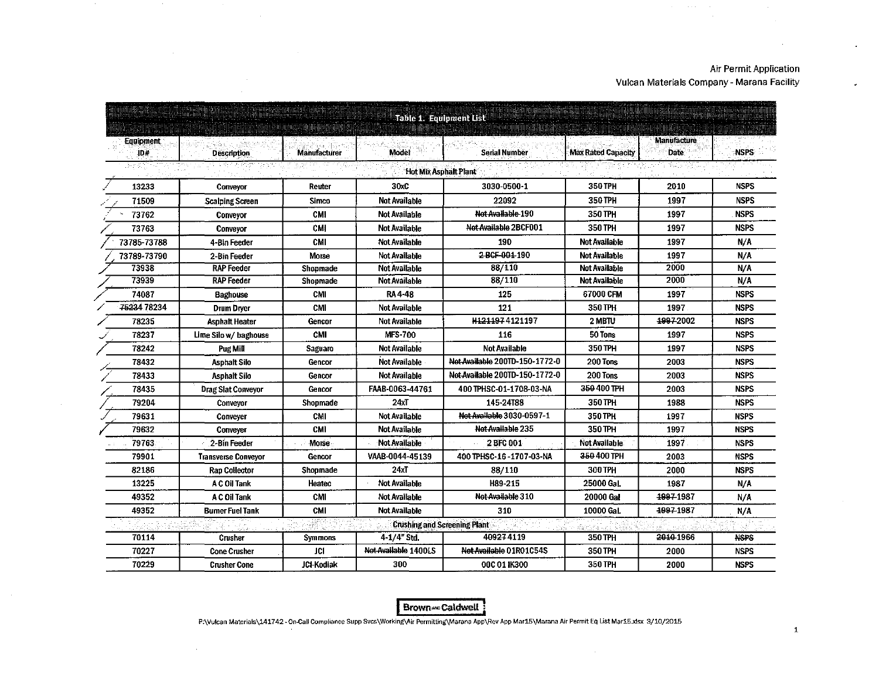$\mathcal{L}$ 

 $\mathcal{A}^{\mathcal{A}}$  , where  $\mathcal{A}^{\mathcal{A}}$  and  $\mathcal{A}^{\mathcal{A}}$ 

|                   |                            |                     | Table 1. Equipment List             | <u> E E PERSONAL A CARACTER E ESTADO DE COMO E</u> |                    |                             |             |
|-------------------|----------------------------|---------------------|-------------------------------------|----------------------------------------------------|--------------------|-----------------------------|-------------|
| Equipment.<br>ID# | <b>Description</b>         | <b>Manufacturer</b> | <b>Model</b>                        | <b>Serial Number</b>                               | Max Rated Capacity | <b>Manufacture</b><br>Date: | <b>NSPS</b> |
|                   |                            |                     | <b>Hot Mix Asphalt Plant</b>        |                                                    |                    |                             |             |
| 13233             | Conveyor                   | Reuter              | 30xC                                | 3030-0500-1                                        | 350 TPH            | 2010                        | <b>NSPS</b> |
| 71509             | <b>Scalping Screen</b>     | Simco               | <b>Not Available</b>                | 22092                                              | 350 TPH            | 1997                        | <b>NSPS</b> |
| 73762             | Conveyor                   | CMI                 | <b>Not Available</b>                | Not Available 190                                  | 350 TPH            | 1997                        | <b>NSPS</b> |
| 73763             | Conveyor                   | CMI                 | <b>Not Available</b>                | Not Available 2BCF001                              | 350 TPH            | 1997                        | <b>NSPS</b> |
| 73785-73788       | 4-Bin Feeder               | <b>CMI</b>          | <b>Not Available</b>                | 190                                                | Not Available      | 1997                        | N/A         |
| 73789-73790       | 2-Bin Feeder               | Morse               | Not Available                       | 2 BCF-004-190                                      | Not Available      | 1997                        | N/A         |
| 73938             | <b>RAP Feeder</b>          | Shopmade            | <b>Not Available</b>                | 88/110                                             | Not Available      | 2000                        | N/A         |
| 73939             | <b>RAP Feeder</b>          | Shopmade            | <b>Not Available</b>                | 88/110                                             | Not Available      | 2000                        | N/A         |
| 74087             | <b>Baghouse</b>            | <b>CMI</b>          | <b>RA4-48</b>                       | 125                                                | 67000 CFM          | 1997                        | <b>NSPS</b> |
| 75234 78234       | <b>Drum Drver</b>          | <b>CMI</b>          | <b>Not Available</b>                | 121                                                | 350 TPH            | 1997                        | <b>NSPS</b> |
| 78235             | Asphalt Heater             | Gencor              | <b>Not Available</b>                | H1211974121197                                     | 2 MBTU             | 4997-2002                   | <b>NSPS</b> |
| 78237             | Lime Silo w/ baghouse      | <b>CMI</b>          | <b>MFS-700</b>                      | 116                                                | 50 Tons            | 1997                        | <b>NSPS</b> |
| 78242             | Pug Mill                   | Saguaro             | <b>Not Available</b>                | Not Available                                      | 350 TPH            | 1997                        | <b>NSPS</b> |
| 78432             | Asphalt Silo               | Gencor              | <b>Not Available</b>                | Not Available 200TD-150-1772-0                     | 200 Tons           | 2003                        | <b>NSPS</b> |
| 78433             | <b>Asphalt Silo</b>        | Gencor              | <b>Not Available</b>                | Not Available 200TD-150-1772-0                     | 200 Tons           | 2003                        | <b>NSPS</b> |
| 78435             | Drag Slat Conveyor         | Gencor              | FAAB-0063-44761                     | 400 TPHSC-01-1708-03-NA                            | 350 400 TPH        | 2003                        | <b>NSPS</b> |
| 79204             | Conveyor                   | Shopmade            | 24xT                                | 145-24188                                          | 350 TPH            | 1988                        | <b>NSPS</b> |
| 79631             | Convever                   | <b>CMI</b>          | Not Available                       | Not Available 3030-0597-1                          | 350 TPH            | 1997                        | <b>NSPS</b> |
| 79632             | Conveyer                   | <b>CMI</b>          | <b>Not Available</b>                | Not Available 235                                  | 350 TPH            | 1997                        | <b>NSPS</b> |
| 79763             | 2-Bin Feeder               | Morse               | Not Available                       | <b>2 BFC 001</b>                                   | Not Available:     | 1997                        | <b>NSPS</b> |
| 79901             | <b>Transverse Convevor</b> | Gencor              | VAAB-0044-45139                     | 400 TPHSC-16-1707-03-NA                            | 350 400 TPH        | 2003                        | <b>NSPS</b> |
| 82186             | <b>Rap Collector</b>       | Shopmade            | 24xT                                | 88/110                                             | 300 TPH            | 2000                        | <b>NSPS</b> |
| 13225             | A C Oil Tank               | Heatec              | Not Available                       | H89-215                                            | 25000 Gal.         | 1987                        | N/A         |
| 49352             | A C Oil Tank               | CMI                 | Not Available                       | Not Available 310                                  | 20000 Gal          | 1997-1987                   | N/A         |
| 49352             | <b>Bumer Fuel Tank</b>     | <b>CMI</b>          | <b>Not Available</b>                | 310                                                | 10000 Gal.         | 4997-1987                   | N/A         |
|                   |                            |                     | <b>Crushing and Screening Plant</b> |                                                    |                    |                             |             |
| 70114             | Crusher                    | Symmons             | 4-1/4" Std.                         | 409274119                                          | 350 TPH            | 2010 1966                   | <b>NSPS</b> |
| 70227             | <b>Cone Crusher</b>        | <b>JCI</b>          | Not Available 1400LS                | Not Available 01R01C54S                            | 350 TPH            | 2000                        | <b>NSPS</b> |
| 70229             | <b>Crusher Cone</b>        | <b>JCI-Kodiak</b>   | 300                                 | 00C 01 IK300                                       | 350 TPH            | 2000                        | <b>NSPS</b> |

 $\sim$ 

 $\sim$ 

 $\sim$ 

 $\sim$ 

 $\sim$ 

Brown-caldwell :

P:\Vulcan Materials\141742- On-Call Compliance Supp Svcs\Working\,Air Permitting\Marana App\Rev App Mar15\Marana Air Permit Eq List Mar15.xlsx 3/10/2015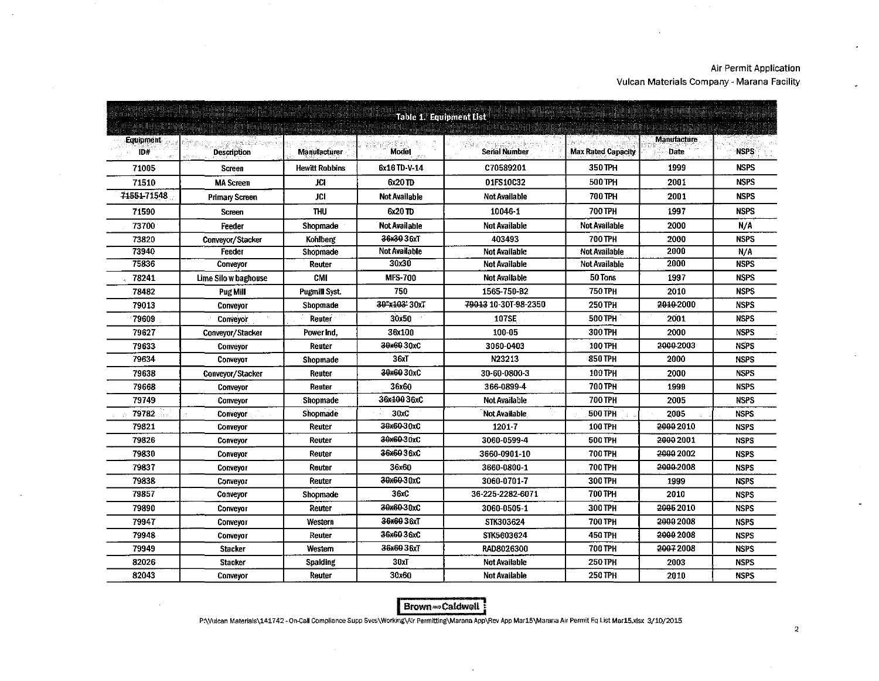$\lambda$ 

 $\overline{a}$ 

 $\sim$   $\alpha$ 

|                  | Table 1. Equipment List |                       |                      |                      |                           |                                   |             |  |  |  |  |  |
|------------------|-------------------------|-----------------------|----------------------|----------------------|---------------------------|-----------------------------------|-------------|--|--|--|--|--|
| Equipment<br>ID# | <b>Description</b>      | Manufacturer          | <b>Model</b>         | <b>Serial Number</b> | <b>Max Rated Capacity</b> | <b>Manufacture</b><br><b>Date</b> | <b>NSPS</b> |  |  |  |  |  |
| 71005            | Screen                  | <b>Hewitt Robbins</b> | 6x16TD-V-14          | C70589201            | 350 TPH                   | 1999                              | <b>NSPS</b> |  |  |  |  |  |
| 71510            | <b>MA Screen</b>        | JC1                   | $6x20$ TD            | 01FS10C32            | 500 TPH                   | 2001                              | <b>NSPS</b> |  |  |  |  |  |
| 71551-71548      | <b>Primary Screen</b>   | <b>JCI</b>            | <b>Not Available</b> | <b>Not Available</b> | 700 TPH                   | 2001                              | <b>NSPS</b> |  |  |  |  |  |
| 71590            | <b>Screen</b>           | <b>THU</b>            | 6x20 TD              | 10046-1              | <b>700 TPH</b>            | 1997                              | <b>NSPS</b> |  |  |  |  |  |
| 73700            | Feeder                  | Shopmade              | Not Available        | Not Available        | <b>Not Available</b>      | 2000                              | N/A         |  |  |  |  |  |
| 73820            | Conveyor/Stacker        | Kohlberg              | 36x3036xT            | 403493               | 700 TPH                   | 2000                              | <b>NSPS</b> |  |  |  |  |  |
| 73940            | Feeder                  | Shopmade              | Not Available        | <b>Not Available</b> | <b>Not Available</b>      | 2000                              | N/A         |  |  |  |  |  |
| 75836            | Conveyor                | Reuter                | 30x30                | <b>Not Available</b> | <b>Not Available</b>      | 2000                              | <b>NSPS</b> |  |  |  |  |  |
| 78241            | Lime Silo w baghouse    | CMI                   | <b>MFS-700</b>       | Not Available        | 50 Tons                   | 1997                              | <b>NSPS</b> |  |  |  |  |  |
| 78482            | Pug Mill                | <b>Pugmill Syst.</b>  | 750                  | 1565-750-B2          | 750 TPH                   | 2010                              | <b>NSPS</b> |  |  |  |  |  |
| 79013            | Conveyor                | Shopmade              | 30"x103' 30xT        | 79013 10-30T-98-2350 | 250 TPH                   | 2010-2000                         | <b>NSPS</b> |  |  |  |  |  |
| 79609            | Conveyor                | Reuter                | 30x50                | 107SE                | <b>500 TPH</b>            | 2001                              | <b>NSPS</b> |  |  |  |  |  |
| 79627            | Conveyor/Stacker        | Power Ind.            | 36x100               | 100-05               | 300 TPH                   | 2000                              | <b>NSPS</b> |  |  |  |  |  |
| 79633            | <b>Conveyor</b>         | Reuter                | 30x6030xC            | 3060-0403            | 100 TPH                   | 2000-2003                         | <b>NSPS</b> |  |  |  |  |  |
| 79634            | Convevor                | Shopmade              | 36xT                 | N23213               | <b>850 TPH</b>            | 2000                              | <b>NSPS</b> |  |  |  |  |  |
| 79638            | Conveyor/Stacker        | Reuter                | 30x6030xC            | 30-60-0800-3         | <b>100 TPH</b>            | 2000                              | <b>NSPS</b> |  |  |  |  |  |
| 79668            | Conveyor                | Reuter                | 36x60                | 366-0899-4           | <b>700 TPH</b>            | 1999                              | <b>NSPS</b> |  |  |  |  |  |
| 79749            | Conveyor                | Shopmade              | 36x10036xC           | Not Available        | <b>700 TPH</b>            | 2005                              | <b>NSFS</b> |  |  |  |  |  |
| 79782            | <b>Conveyor</b>         | Shopmade              | 30xC                 | <b>Not Available</b> | 500 TPH                   | 2005                              | <b>NSPS</b> |  |  |  |  |  |
| 79821            | Conveyor                | Reuter                | 30x60-30xC           | 12017                | 100 TPH                   | 20002010                          | <b>NSPS</b> |  |  |  |  |  |
| 79826            | Conveyor                | Reuter                | 30x60-30xC           | 3060-0599-4          | 500 TPH                   | 20002001                          | <b>NSPS</b> |  |  |  |  |  |
| 79830            | Conveyor                | Reuter                | 36x6036xC            | 3660-0901-10         | 700 TPH                   | 2000 2002                         | <b>NSPS</b> |  |  |  |  |  |
| 79837            | Conveyor                | Reuter                | 36x60                | 3660-0800-1          | 700 TPH                   | 2000-2008                         | <b>NSPS</b> |  |  |  |  |  |
| 79838            | Conveyor                | Reuter                | 30x60-30xC           | 3060-0701-7          | 300 TPH                   | 1999                              | <b>NSPS</b> |  |  |  |  |  |
| 79857            | Conveyor                | Shopmade              | 36xC                 | 36-225-2282-6071     | 700 TPH                   | 2010                              | <b>NSPS</b> |  |  |  |  |  |
| 79890            | Conveyor                | Reuter                | 30x60-30xC           | 3060-0505-1          | 300 TPH                   | 20052010                          | <b>NSPS</b> |  |  |  |  |  |
| 79947            | Conveyor                | Western               | 36x6036xT            | STK303624            | <b>700 TPH</b>            | 20002008                          | <b>NSPS</b> |  |  |  |  |  |
| 79948            | Convevor                | Reuter                | 36x6036xC            | STK5603624           | 450 TPH                   | 2000 2008                         | <b>NSPS</b> |  |  |  |  |  |
| 79949            | <b>Stacker</b>          | Western               | 36x6036xT            | RAD8026300           | <b>700 TPH</b>            | 20072008                          | <b>NSPS</b> |  |  |  |  |  |
| 82026            | <b>Stacker</b>          | <b>Spalding</b>       | 30xT                 | Not Available        | 250 TPH                   | 2003                              | <b>NSPS</b> |  |  |  |  |  |
| 82043            | Conveyor                | Reuter                | 30x60                | <b>Not Available</b> | 250 TPH                   | 2010                              | <b>NSPS</b> |  |  |  |  |  |

 $\sim$ 

 $\mathcal{A}$ 

 $\alpha$ 

Brown == Caldwell

P:\Vulcan Materials\141742 - On-Call Compliance Supp Svcs\Working\Air Permitting\Marana App\Rev App Mar15\Marana Air Permit Eq List Mar15.xlsx 3/10/2015

 $\ddot{\phantom{0}}$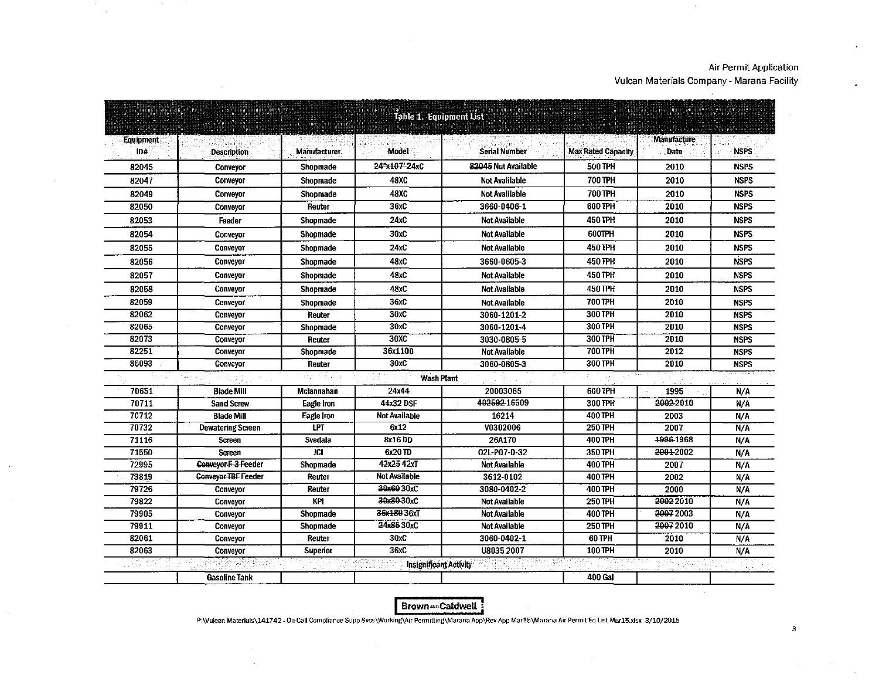$\bullet$ 

 $\lambda$ 

 $\sim$ 

| Table 1. Equipment List |                            |                     |                               |                      |                           |                    |             |  |  |  |
|-------------------------|----------------------------|---------------------|-------------------------------|----------------------|---------------------------|--------------------|-------------|--|--|--|
| <b>Equipment</b>        |                            |                     |                               |                      |                           | <b>Manufacture</b> |             |  |  |  |
| ID#                     | <b>Description</b>         | <b>Manufacturer</b> | Model                         | <b>Serial Number</b> | <b>Max Rated Capacity</b> | Date               | <b>NSPS</b> |  |  |  |
| 82045                   | Conveyor                   | Shopmade            | 24"x107"24xC                  | 82045 Not Available  | <b>500 TPH</b>            | 2010               | <b>NSPS</b> |  |  |  |
| 82047                   | Conveyor                   | Shopmade            | 48 Y.C                        | Not Avalilable       | 700 TPH                   | 2010               | <b>NSPS</b> |  |  |  |
| 82049                   | Conveyor                   | Shopmade            | <b>48XC</b>                   | Not Avalilable       | 700 TPH                   | 2010               | <b>NSPS</b> |  |  |  |
| 82050                   | Conveyor                   | Reuter              | 36xC                          | 3660-0406-1          | 600 TPH                   | 2010               | <b>NSPS</b> |  |  |  |
| 82053                   | Feeder                     | Shopmade            | 24xC                          | <b>Not Available</b> | 450 TPH                   | 2010               | <b>NSPS</b> |  |  |  |
| 82054                   | Conveyor                   | Shopmade            | 30xC                          | <b>Not Available</b> | 600TPH                    | 2010               | <b>NSPS</b> |  |  |  |
| 82055                   | Conveyor                   | Shopmade            | 24xC                          | <b>Not Available</b> | 450 TPH                   | 2010               | <b>NSPS</b> |  |  |  |
| 82056                   | Conveyor                   | Shopmade            | 48xC                          | 3660-0605-3          | 450 TPH                   | 2010               | <b>NSPS</b> |  |  |  |
| 82057                   | Conveyor                   | Shopmade            | 48xC                          | <b>Not Available</b> | 450 TPH                   | 2010               | <b>NSPS</b> |  |  |  |
| 82058                   | Conveyor                   | Shopmade            | 48xC                          | <b>Not Available</b> | 450 TPH                   | 2010               | <b>NSPS</b> |  |  |  |
| 82059                   | Conveyor                   | Shopmade            | 36xC                          | <b>Not Available</b> | 700 TPH                   | 2010               | <b>NSPS</b> |  |  |  |
| 82062                   | Convevor                   | Reuter              | 30xC                          | 3060 1201 2          | 300 TPH                   | 2010               | <b>NSPS</b> |  |  |  |
| 82065                   | Conveyor                   | Shopmade            | 30xC                          | 3060-1201-4          | <b>300 TPH</b>            | 2010               | <b>NSPS</b> |  |  |  |
| 82073                   | Conveyor                   | Reuter              | 30XC                          | 3030-0805-5          | <b>300 TPH</b>            | 2010               | <b>NSPS</b> |  |  |  |
| 82251                   | Conveyor                   | Shopmade            | 36x1100                       | <b>Not Available</b> | 700 TPH                   | 2012               | <b>NSPS</b> |  |  |  |
| 85093                   | Conveyor                   | Reuter              | 30xC                          | 3060-0805-3          | 300 TPH                   | 2010               | <b>NSPS</b> |  |  |  |
|                         |                            | 9 F F               | <b>Wash Plant</b>             |                      |                           |                    |             |  |  |  |
| 70651                   | <b>Blade Mill</b>          | Mclannahan          | 24x44                         | 20003065             | 600 TPH                   | 1995               | N/A         |  |  |  |
| 70711                   | <b>Sand Screw</b>          | Eagle Iron          | 44x32 DSF                     | 402592-16509         | 300 TPH                   | 2002-2010          | N/A         |  |  |  |
| 70712                   | <b>Blade Mill</b>          | Eagle Iron          | <b>Not Available</b>          | 16214                | 400 TPH                   | 2003               | N/A         |  |  |  |
| 70732                   | <b>Dewatering Screen</b>   | <b>LPT</b>          | 6x12                          | V0302006             | 250 TPH                   | 2007               | N/A         |  |  |  |
| 71116                   | Screen                     | Svedala             | 8x16 DD                       | 26A170               | 400 TPH                   | 1996-1968          | N/A         |  |  |  |
| 71550                   | <b>Screen</b>              | <b>JCI</b>          | 6x20 TD                       | 02L-P07-D-32         | 350 TPH                   | 2001-2002          | N/A         |  |  |  |
| 72995                   | Conveyor F-3-Feeder        | Shopmade            | 42x2542xT                     | <b>Not Available</b> | 400 TPH                   | 2007               | N/A         |  |  |  |
| 73819                   | <b>Conveyor TBF Feeder</b> | Reuter              | Not Available                 | 3612-0102            | 400 TPH                   | 2002               | N/A         |  |  |  |
| 79726                   | Conveyor                   | Reuter              | 30x6030xC                     | 3080-0402-2          | 400 TPH                   | 2000               | N/A         |  |  |  |
| 79822                   | <b>Conveyor</b>            | <b>KPI</b>          | 30x80-30xC                    | <b>Not Available</b> | <b>250 TPH</b>            | 2002 2010          | N/A         |  |  |  |
| 79905                   | Conveyor                   | Shopmade            | 36x180 36xT                   | <b>Not Available</b> | 400 TPH                   | 20072003           | N/A         |  |  |  |
| 79911                   | Conveyor                   | Shopmade            | 24x8530xC                     | <b>Not Available</b> | <b>250 TPH</b>            | 20072010           | N/A         |  |  |  |
| 82061                   | Conveyor                   | Reuter              | 30xC                          | 3060-0402-1          | 60 TPH                    | 2010               | N/A         |  |  |  |
| 82063                   | Conveyor                   | Superior            | 36xC                          | U8035 2007           | 100 TPH                   | 2010               | N/A         |  |  |  |
|                         |                            |                     | <b>Insignificant Activity</b> |                      |                           |                    |             |  |  |  |
|                         | <b>Gasoline Tank</b>       |                     |                               |                      | <b>400 Gal</b>            |                    |             |  |  |  |

 $\sim$ 

 $\sim 10^7$ 

 $\sim$ 

 $\mathcal{L}_{\mathcal{A}}$ 

 $\mathcal{L}$ 

Brown = Caldwell :

P:\Vulcan Materials\141742 - On-Call Compliance Supp Svcs\Working\Air Permitting\Marana App\Rev App Mar15\Marana Air Permit Eq List Mar15.xlsx 3/10/2015

 $\sim$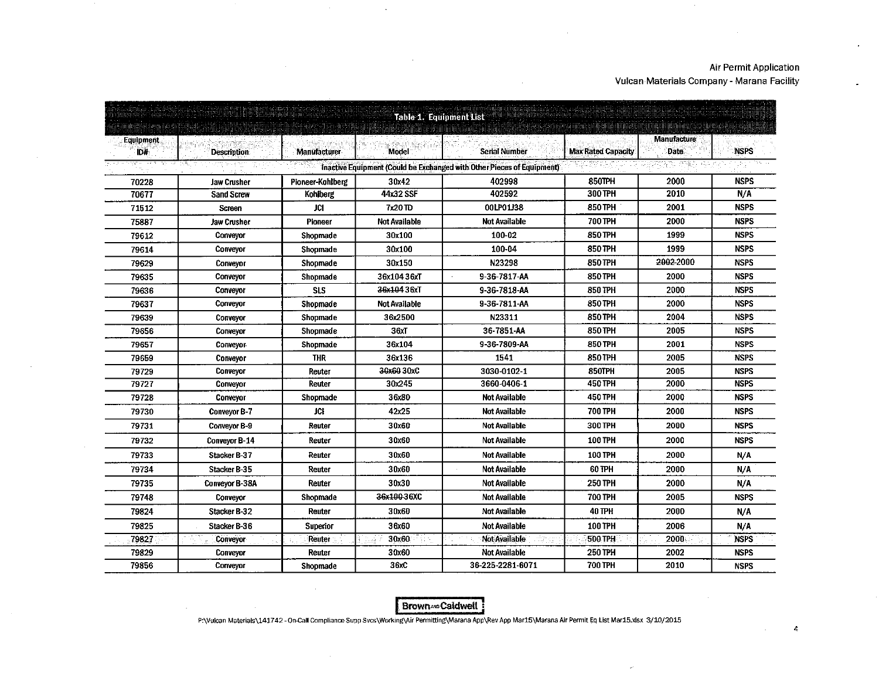$\sim$ 

|                  | Table 1. Equipment List                 |                              |                      |                                                                        |                           |                             |             |  |  |  |  |
|------------------|-----------------------------------------|------------------------------|----------------------|------------------------------------------------------------------------|---------------------------|-----------------------------|-------------|--|--|--|--|
| Equipment<br>ID# | <b>Description</b>                      | <b>Manufacturer</b>          | <b>Model</b>         | <b>Serial Number</b>                                                   | <b>Max Rated Capacity</b> | <b>Manufacture</b><br>Date: | <b>NSPS</b> |  |  |  |  |
|                  |                                         |                              |                      | Inactive Equipment (Could be Exchanged with Other Pieces of Equipment) |                           |                             |             |  |  |  |  |
|                  |                                         |                              |                      | 402998                                                                 | 850TPH                    | 2000                        | <b>NSPS</b> |  |  |  |  |
| 70228<br>70677   | <b>Jaw Crusher</b><br><b>Sand Screw</b> | Pioneer-Kohlberg<br>Kohlberg | 30x42<br>44x32 SSF   | 402592                                                                 | 300 TPH                   | 2010                        | N/A         |  |  |  |  |
| 71512            |                                         | JCI                          | 7x20 TD              | 00LP01J38                                                              | 850 TPH                   | 2001                        | <b>NSPS</b> |  |  |  |  |
|                  | <b>Screen</b>                           |                              | <b>Not Available</b> | <b>Not Available</b>                                                   | 700 TPH                   | 2000                        | <b>NSPS</b> |  |  |  |  |
| 75887            | Jaw Crusher                             | Pioneer                      |                      | 100-02                                                                 | 850 TPH                   | 1999                        | <b>NSPS</b> |  |  |  |  |
| 79612            | Conveyor                                | Shopmade                     | 30x100               |                                                                        |                           |                             |             |  |  |  |  |
| 79614            | Conveyor                                | Shopmade                     | 30x100               | 100-04                                                                 | <b>850 TPH</b>            | 1999                        | <b>NSPS</b> |  |  |  |  |
| 79629            | Conveyor                                | Shoomade                     | 30x150               | N23298                                                                 | <b>850 TPH</b>            | 2002-2000                   | <b>NSPS</b> |  |  |  |  |
| 79635            | Conveyor                                | Shopmade                     | 36x104 36xT          | 9-36-7817-AA                                                           | 850 TPH                   | 2000                        | <b>NSPS</b> |  |  |  |  |
| 79636            | Conveyor                                | <b>SLS</b>                   | 36x104 36xT          | 9-36-7818-AA                                                           | 850 TPH                   | 2000                        | <b>NSPS</b> |  |  |  |  |
| 79637            | <b>Conveyor</b>                         | Shopmade                     | Not Available        | 9-36-7811-AA                                                           | 850 TPH                   | 2000                        | <b>NSPS</b> |  |  |  |  |
| 79639            | Conveyor                                | Shopmade                     | 36x2500              | N23311                                                                 | <b>850 TPH</b>            | 2004                        | <b>NSPS</b> |  |  |  |  |
| 79656            | Conveyor                                | Shopmade                     | 36xT                 | 36-7851-AA                                                             | 850 TPH                   | 2005                        | <b>NSPS</b> |  |  |  |  |
| 79657            | <b>Conveyor</b>                         | Shopmade                     | 36x104               | 9-36-7809-AA                                                           | 850 TPH                   | 2001                        | <b>NSPS</b> |  |  |  |  |
| 79659            | Conveyor                                | <b>THR</b>                   | 36x136               | 1541                                                                   | 850 TPH                   | 2005                        | <b>NSPS</b> |  |  |  |  |
| 79729            | Conveyor                                | Reuter                       | 30x6030xC            | 3030-0102-1                                                            | 850TPH                    | 2005                        | <b>NSPS</b> |  |  |  |  |
| 79727            | Conveyor                                | Reuter                       | 30x245               | 3660-0406-1                                                            | 450 TPH                   | 2000                        | <b>NSPS</b> |  |  |  |  |
| 79728            | Conveyor                                | Shopmade                     | 36x80                | <b>Not Available</b>                                                   | <b>450 TPH</b>            | 2000                        | <b>NSPS</b> |  |  |  |  |
| 79730            | <b>Conveyor B-7</b>                     | <b>JCI</b>                   | 42x25                | <b>Not Available</b>                                                   | 700 TPH                   | 2000                        | <b>NSPS</b> |  |  |  |  |
| 79731            | <b>Conveyor B-9</b>                     | Reuter                       | 30x60                | Not Available                                                          | <b>300 TPH</b>            | 2000                        | <b>NSPS</b> |  |  |  |  |
| 79732            | <b>Conveyor B-14</b>                    | Reuter                       | 30x60                | <b>Not Available</b>                                                   | <b>100 TPH</b>            | 2000                        | <b>NSPS</b> |  |  |  |  |
| 79733            | Stacker B-37                            | Reuter                       | 30x60                | <b>Not Available</b>                                                   | <b>100 TPH</b>            | 2000                        | N/A         |  |  |  |  |
| 79734            | Stacker B-35                            | Reuter                       | 30x60                | <b>Not Available</b>                                                   | 60 TPH                    | 2000                        | N/A         |  |  |  |  |
| 79735            | <b>Conveyor B-38A</b>                   | Reuter                       | 30x30                | Not Available                                                          | <b>250 TPH</b>            | 2000                        | N/A         |  |  |  |  |
| 79748            | Conveyor                                | Shopmade                     | 36x100-36XC          | Not Available                                                          | <b>700 TPH</b>            | 2005                        | <b>NSPS</b> |  |  |  |  |
| 79824            | Stacker B-32                            | Reuter                       | 30x60                | <b>Not Available</b>                                                   | <b>40 TPH</b>             | 2000                        | N/A         |  |  |  |  |
| 79825            | Stacker B-36                            | Superior                     | 36x60                | Not Available                                                          | <b>100 TPH</b>            | 2006                        | N/A         |  |  |  |  |
| 79827            | <b>Conveyor</b>                         | Reuter                       | 30x60                | <b>Not Available</b><br>enga                                           | <b>500 TPH</b>            | 2000                        | <b>NSPS</b> |  |  |  |  |
| 79829            | <b>Conveyor</b>                         | Reuter                       | 30x60                | <b>Not Available</b>                                                   | 250 TPH                   | 2002                        | <b>NSPS</b> |  |  |  |  |
| 79856            | Conveyor                                | Shopmade                     | 36xC                 | 36-225-2281-6071                                                       | 700 TPH                   | 2010                        | <b>NSPS</b> |  |  |  |  |

Brown-Caldwell

P:\Vulcan Materials\141742 - On-Call Compliance Supp Svcs\Working\Air Permitting\Marana App\Rev App Mar15\Marana Air Permit Eq List Mar15.xlsx 3/10/2015

4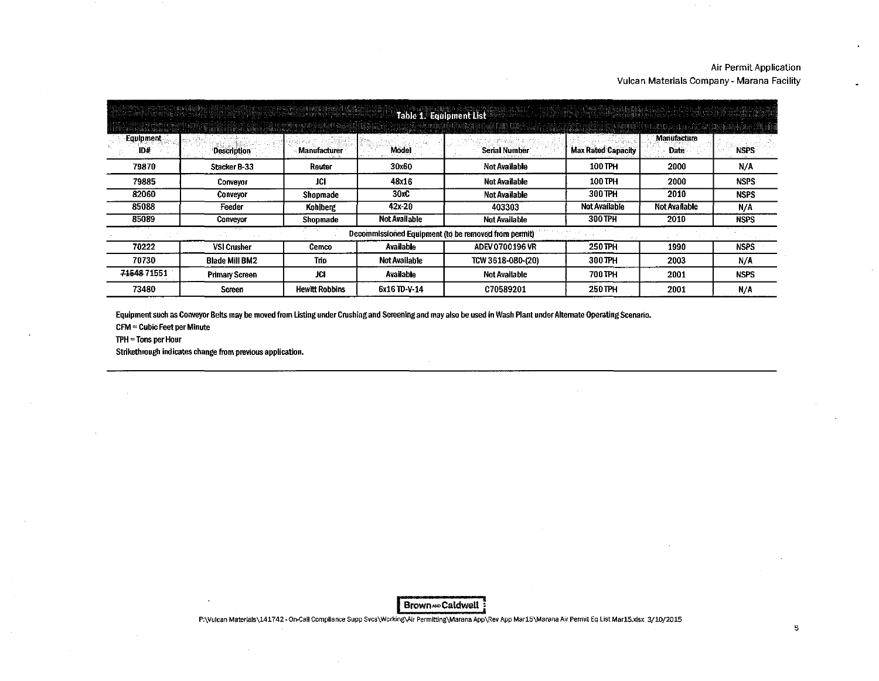|                  | Table 1. Equipment List |                     |                      |                                                      |                           |                            |             |  |  |  |  |
|------------------|-------------------------|---------------------|----------------------|------------------------------------------------------|---------------------------|----------------------------|-------------|--|--|--|--|
| Equipment<br>ID# | <b>Description</b>      | <b>Manufacturer</b> | Model                | <b>Serial Number</b>                                 | <b>Max Rated Capacity</b> | Manufacture<br><b>Date</b> | <b>NSPS</b> |  |  |  |  |
| 79870            | <b>Stacker B-33</b>     | Reuter              | 30x60                | Not Available                                        | 100 TPH                   | 2000                       | N/A         |  |  |  |  |
| 79885            | Conveyor                | JCI.                | 48x16                | <b>Not Available</b>                                 | 100 TPH                   | 2000                       | <b>NSPS</b> |  |  |  |  |
| 82060            | Conveyor                | Shopmade            | 30xC                 | <b>Not Available</b>                                 | 300 TPH                   | 2010                       | <b>NSPS</b> |  |  |  |  |
| 85088            | Feeder                  | Kohlberg            | $42x - 20$           | 403303                                               | <b>Not Available</b>      | <b>Not Available</b>       | N/A         |  |  |  |  |
| 85089            | Conveyor                | Shopmade            | <b>Not Available</b> | Not Available                                        | 300 TPH                   | 2010                       | <b>NSPS</b> |  |  |  |  |
|                  |                         |                     |                      | Decommissioned Equipment (to be removed from permit) |                           |                            |             |  |  |  |  |
| 70222            | <b>VSI Crusher</b>      | Cemco               | Available            | ADEV 0700196 VR                                      | 250 TPH                   | 1990                       | <b>NSPS</b> |  |  |  |  |
| 70730            | <b>Blade Mill BM2</b>   | Trio                | <b>Not Available</b> | TCW 3618-080-(20)                                    | 300 TPH                   | 2003                       | N/A         |  |  |  |  |
| 7154871551       | <b>Primary Screen</b>   | <b>JCI</b>          | <b>Available</b>     | <b>Not Available</b>                                 | 700 TPH                   | 2001                       | <b>NSPS</b> |  |  |  |  |
| 73480            | Screen                  | Hewitt Robbins      | 6x16 TD-V-14         | C70589201                                            | 250 TPH                   | 2001                       | N/A         |  |  |  |  |

Equipment such as Conveyor Belts may be moved from listing under Crushing and Screening and may also be used in Wash Plant under Alternate Operating Scenario.

CFM =Cubic Feet per Minute

TPH =Tons per Hour

Strikethrough indicates change from previous application.

Brown=Caldwell <sup>1</sup>

P:\Vulcan Materials\141742- On-Call Compliance Supp Svcs\Working\Air Permitting\Marana App\Rev App Mar15\Marana Air Permit Eq List Mar15.xlsx 3/10/2015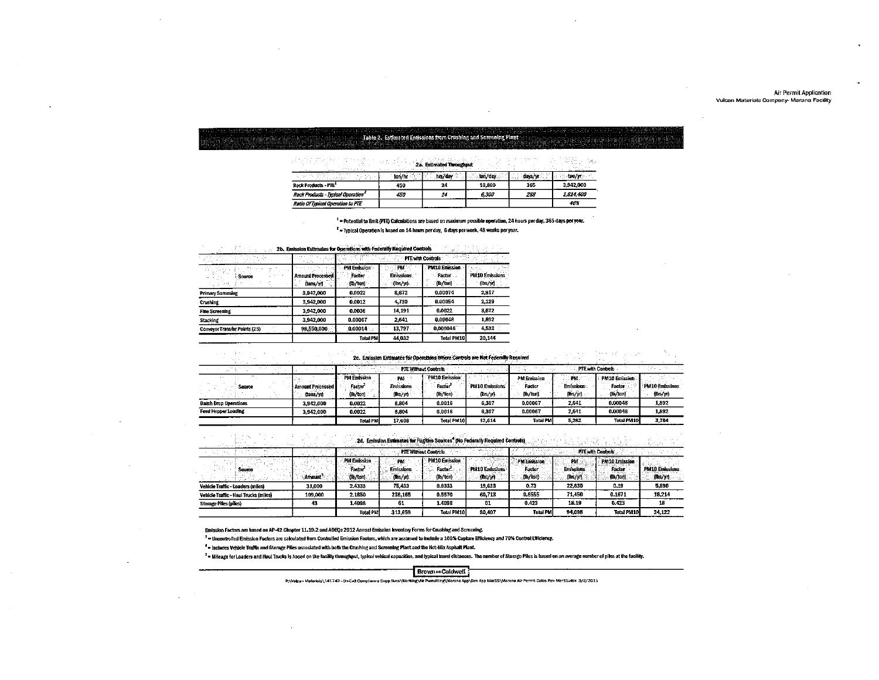|                                                                                                                 | ,我们也不能让我们的人们就会在这里的人们,我们也不能让我们的人们也不能 <b>能够的。""我们的人们也不能让我们的人们也不能让我们的人们</b> 也不能让我们的人们也不能让我们的人                                                                                                                                                                                                                                                                                                                                                                             |  |
|-----------------------------------------------------------------------------------------------------------------|------------------------------------------------------------------------------------------------------------------------------------------------------------------------------------------------------------------------------------------------------------------------------------------------------------------------------------------------------------------------------------------------------------------------------------------------------------------------|--|
|                                                                                                                 | and the company of the contract of the company of the company of the contract of the company of the company of the contract of the contract of the contract of the contract of the contract of the contract of the contract of<br><u>. A serve proceduration of the contraction of the contraction of the contraction of the contraction of the contraction of the contraction of the contraction of the contraction of the contraction of the contraction of the </u> |  |
|                                                                                                                 | disclusionary in a control of the disclusion of a second second basis. The set of the second of the second of the second second second second second second second second second second second second second second second sec                                                                                                                                                                                                                                         |  |
|                                                                                                                 |                                                                                                                                                                                                                                                                                                                                                                                                                                                                        |  |
|                                                                                                                 |                                                                                                                                                                                                                                                                                                                                                                                                                                                                        |  |
|                                                                                                                 |                                                                                                                                                                                                                                                                                                                                                                                                                                                                        |  |
|                                                                                                                 |                                                                                                                                                                                                                                                                                                                                                                                                                                                                        |  |
| the contract of the contract of the contract of the contract of the contract of the contract of the contract of |                                                                                                                                                                                                                                                                                                                                                                                                                                                                        |  |

|                                                | ton/hr | hrs/dav |        | cays/vr<br>$\cdots$ | ton/w     |
|------------------------------------------------|--------|---------|--------|---------------------|-----------|
| <b>Rock Products - PTE</b>                     | 450    | 24      | 10,800 | 365                 | 3.942.000 |
| Rock Products - Typical Operation <sup>2</sup> | 450    |         | 6.300  | 288                 | 1.814.400 |
| Ratio Of Typical Operation to PTE              |        |         |        |                     | 46%       |

 $^4$  = Potential to Emit (PTE) Calculations are based on maximum possible operation, 24 hours per day, 365 days per year.

 $^2$  = Typical Operation is based on 14 hours per day, 6 days per week, 48 weeks per year.

**Controls of the Control of the Control of Control of Control of Controls of the Controls of the Controls of the Controls of the Control of the Control of the Control of the Control of the Control of the Control of the Con** 

| $\ddot{\phantom{0}}$          |                                      | <b>PTE with Controls</b>          |                                  |                                    |                                   |  |  |  |
|-------------------------------|--------------------------------------|-----------------------------------|----------------------------------|------------------------------------|-----------------------------------|--|--|--|
| Source                        | <b>Amount Processed</b><br>(tans/yr) | PM Emission:<br>Factor<br>(D/ton) | : PM<br>Emissions.<br>$(hs/\pi)$ | PM10 Emission<br>Factor<br>(b/tan) | <b>PM10 Emissions</b><br>(lbs/yr) |  |  |  |
| <b>Primary Screeming</b>      | 3,942,000                            | 0.0022                            | 8.672                            | 0.00074                            | 2.917                             |  |  |  |
| <b>Crustung</b>               | 3,942,000                            | 0.0012                            | 4,730                            | 0.00054                            | 2.129                             |  |  |  |
| <b>Fine Screening</b>         | 3,942,000                            | 0.0036                            | 14.191                           | 0.0022                             | 8.672                             |  |  |  |
| <b>Stacking</b>               | 3.942.000                            | 0.00067                           | 2.641                            | 0.00048                            | 1.592                             |  |  |  |
| Conveyor Transfer Points (25) | 98,550,000                           | 0.00014                           | 13,797<br>11.1                   | 0.000046                           | 4,533                             |  |  |  |
|                               |                                      | <b>Total PM</b>                   | 44.032                           | <b>Total PM10</b>                  | 20 144                            |  |  |  |

# 2c. Emission Estimates for Operations Wriste Controls are Not Federally Required

| 2c. Emission Estimates for Operations Where Controls are Not Federally Required |                         |                    |                       |                             |                       |                    |                          |                   |                |  |  |
|---------------------------------------------------------------------------------|-------------------------|--------------------|-----------------------|-----------------------------|-----------------------|--------------------|--------------------------|-------------------|----------------|--|--|
|                                                                                 |                         |                    |                       | <b>PTE Without Controls</b> |                       |                    | PTE with Controls        |                   |                |  |  |
| $\sim$                                                                          |                         | <b>PM Emission</b> | PM                    | PM10 Emission               |                       | <b>PM Emission</b> | PM.                      | PM10 Emission     |                |  |  |
| Scarce                                                                          | <b>Amount Processed</b> | Factor             | <b>Emissions</b>      | Factor <sup>3</sup>         | <b>PM10 Emissions</b> | Factor             | $-1$<br><b>Emissions</b> | Factor            | PM10 Emissions |  |  |
|                                                                                 | (tons/yr)               | (lb/ton)           | $[{\rm ms}/{\rm yr}]$ | (lb/ton)                    | (155/3)               | (b / tan)          | [ms/yr]                  | (lb/ion)          | $(b*/n)$       |  |  |
| <b>Batch Drop Operations</b>                                                    | 3,942,000               | 0.0022             | 8.804                 | 0.0016                      | 6,307                 | 0.00067            | 2,641                    | 0.00048           | 1,892          |  |  |
| Feed Hopper Loading                                                             | 3.942.000               | 0.0022             | 5,804                 | 0.0016                      | 6.307                 | 0.00067            | 2,641                    | 0.00046           | 1,892          |  |  |
|                                                                                 |                         | <b>Total PM</b>    | 17,603                | <b>Total PM10</b>           | 12.614                | <b>Total PM</b>    | 5.282                    | <b>Total PM10</b> | 3.784          |  |  |

|                                       |         |                                                       |                               | 2d. Emission Estimates for Fugitive Sources <sup>4</sup> (No Federally Required Controls) |                            |                                                         |                             |                                            |                                            |
|---------------------------------------|---------|-------------------------------------------------------|-------------------------------|-------------------------------------------------------------------------------------------|----------------------------|---------------------------------------------------------|-----------------------------|--------------------------------------------|--------------------------------------------|
|                                       |         |                                                       | PTE Without Controls          |                                                                                           | alland di                  |                                                         | <b>FITE with Controls</b>   |                                            |                                            |
|                                       | Amount  | <b>PM Emission</b><br>Tactor <sup>*</sup><br>(lb/ton) | <b>Emissions</b><br>This/vil. | PM 10 Emission.<br>Factor"<br>(lb/ton)                                                    | : PM10 Emissions<br>(Ds/yn | PM Envission<br>Facto<br><b><i><b>Excession</b></i></b> | Emissions<br><b>Clbs/yn</b> | PM10 Emission<br><b>Factor</b><br>(Ib ton) | <b>PM10 Emissions</b><br>$\mathsf{m}$ s/yn |
| Vehicle Traffic - Loaders (miles)     | 31,000  | 2,4335                                                | 75,433                        | 0.6333                                                                                    | 19.633                     | 0.73                                                    | 22,630                      | 0.19                                       | 5.890                                      |
| Vehicle Traffic - Haul Trucks (miles) | 109,000 | 2.1850                                                | 238.165                       | 0.5570                                                                                    | 60.713                     | 0.6555                                                  | 71,450                      | 0.1671                                     | 18.214                                     |
| <b>Storage Piles (piles)</b>          | 43      | 1,4098                                                | 61                            | 1,4098                                                                                    | 61                         | 0.423                                                   | 18.19                       | 0.423                                      | 18                                         |
|                                       |         | Treal DM                                              | 313659                        | Total PM10                                                                                | 80,407                     | <b>Tatal PM</b>                                         | 94.098                      | Total PM10                                 | 24.122                                     |

Emission Factors are based on AP-42 Chapter 11.19.2 and ADEQs 2012 Annual Emission Inventory Forms for Crushing and Screening.

<sup>3</sup> = Uncontrolled Emission Factors are calculated from Controlled Emission Factors, which are assumed to include a 100% Capture Efficiency and 70% Control Efficiency.

4 - Includes Vehicle Traffic and Storage Piles associated with both the Crushing and Screening Plant and the Hot-Mix Asphalt Plant.

<sup>5</sup> = Mileage for Laaders and Haul Trucks is based on the facility throughput, typical vehical capacities, and typical travel distances. The number of Storage Piles is based on an average number of piles at the facility.

#### Brown » Caldwell

P:\Vulcan Materials\141742-0n-Call Compliance Supp Svcs\Working\Air Parmitting\Marana App\Rev App Mar15\Marana Air Permit Calcs Rev Mar15.xlsx 3/8/2015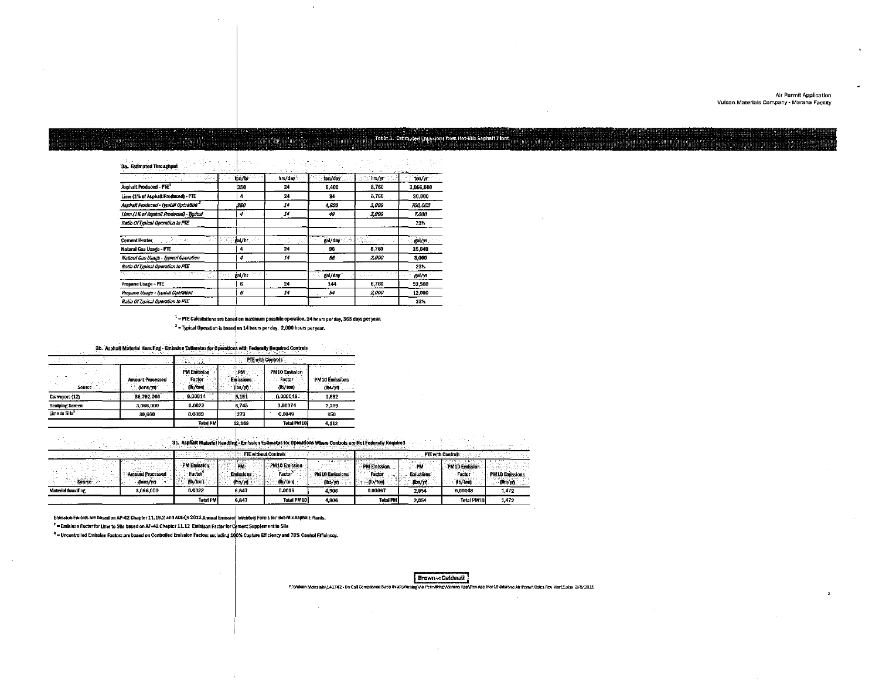#### Table 3. Estimated Emissions from Hot-Mix Asphalt Plant.

3a. Estimated Throughput 大型 "不过"的形式

|                                                   | 5 : 1. 25 : 1. 3 : 3 : 1   | the state of the state of |         | <br>$\sim$                                         | and weather and the |
|---------------------------------------------------|----------------------------|---------------------------|---------|----------------------------------------------------|---------------------|
| $\mathbb{Z}_2$ S $\mathbb{R}$<br>atin di          | thn/hr                     | hrs/day                   | ton/day | $\frac{1}{2}$ in the contribution of $\frac{1}{2}$ | tor/yr              |
| Asphalt Produced - PTE*                           | 350                        | 24                        | 8.400   | 8,760                                              | 3.066.000           |
| Lime (1% of Asphalt Produced) - PTE               | 4                          | 24                        | 34      | 8,760                                              | 30.660              |
| Asphalt Produced - Typical Operation <sup>2</sup> | 350                        | 14                        | 4,900   | 2,000                                              | 700,000             |
| Lime (1% of Asphalt Produced) - Typical           | 4                          | 14                        | 49      | 2.000                                              | 7,000               |
| Ratio Of Typical Operation to PTE                 |                            |                           |         |                                                    | 23%                 |
| Cement Heater [1997] Service                      | te 30. <b>gal/tır</b> 1999 | 99.                       | gal/day | 95 <u>aa</u>                                       | gal/yr              |
| Natural Gas Usage - PTE                           | 4                          | 24                        | 96      | 8,760                                              | 35.040              |
| Natural Gas Usage - Typical Operation             | 4                          | 14                        | 56      | 2,000                                              | 8.000               |
| Ratio Of Typical Operation to PTE                 |                            |                           |         |                                                    | 23%                 |
| The same<br>र, उप                                 | va p<br>ga /hr             |                           | gal/day | <b>ALC</b><br>39511                                | gal/yr              |
| Propane Usage - PTE                               | 6                          | 24                        | 144     | 8,760                                              | 52.560              |
| Propane Usage - Typical Operation                 | 6                          | 14                        | 84      | 2.000                                              | 12.000              |
| Ratio Of Typical Operation to PTE                 |                            |                           |         |                                                    | 23%                 |

 $^1$  = PTE Calculations are based on maximum possible operation, 24 hours per day, 365 days per year.

 $^{-2}$  = Typical Operation is based on 14 hours per day, 2,000 hours per year.

3b. Asphalt Material Handling - Emission Estimates for Operations with Federally Required Controls

|                           |          | .                                    |                                           |                                    |                                    | .                                 |  |
|---------------------------|----------|--------------------------------------|-------------------------------------------|------------------------------------|------------------------------------|-----------------------------------|--|
| $\cdots$                  |          | .                                    |                                           |                                    | PTE with Controls                  |                                   |  |
|                           | Source - | <b>Amount Processed</b><br>(tons/yr) | <b>PM Emission</b><br>Factor.<br>(lb/ton) | PМ<br><b>Emissions</b><br>(lbs/yr) | PM10 Emission<br>Factor<br>(h/ton) | <b>PM10 Emissions</b><br>(lbs/yr) |  |
| Conveyors (12)            |          | 36,792,000                           | 0.00014                                   | 5.151                              | 0.000046                           | 1.692                             |  |
| <b>Scalping Screen</b>    |          | 3.066.000                            | 0.0022                                    | 6,745                              | 0,00074                            | 2,269                             |  |
| Lime to Silo <sup>2</sup> |          | 30.660                               | 0.0089                                    | 273                                | 0.0049                             | 150                               |  |
|                           |          |                                      | Total PM                                  | 12.169                             | <b>Total PM10</b>                  | 4.112                             |  |

|                          |                  |                              |                         |                                    | 3c. Asphalt Material Hauttling - Emission Estimates for Operations Where Controls are Not Federally Required |                              |                 |                          |                |
|--------------------------|------------------|------------------------------|-------------------------|------------------------------------|--------------------------------------------------------------------------------------------------------------|------------------------------|-----------------|--------------------------|----------------|
|                          |                  |                              |                         | <b>PTE without Controls</b>        |                                                                                                              |                              |                 | <b>PTE with Controls</b> |                |
|                          | Amount Processed | <b>PM Emission</b><br>Factor | ™PM<br><b>Emissions</b> | <b>A&amp;10 Emission</b><br>Factor | PM 10 Emissions                                                                                              | <b>PM Emission</b><br>Factor | pм<br>Emissions | PM10 Emission<br>Factur  | PM10 Emissions |
| Saurce .                 | (Luns/yr)        | (lb/ton)                     | (հ./յդ                  | db/toni                            | (lbs/yn                                                                                                      | db/toni                      | illus Avit.     | (lb/ton)                 | (h/s)          |
| <b>Material handling</b> | 3.066.000        | 0.0022                       | 6.847                   | 0.0016                             | 4.106                                                                                                        | 0.00067                      | 2.054           | 8.00048                  | 1.472          |
|                          |                  | Tatal PMİ                    | 6.847                   | <b>Total PM10</b>                  | a nns                                                                                                        | <b>Total PM</b>              | 2 DSA           | Total PM1nl              | 1479           |

Emission Factors are based on AP-42 Chapter 11.19.2 and ADEQs 2012 Annual Emission Inventory Forms for Hot-Mix Asphalt Plants.

<sup>3</sup> = Emisison Factor for Lime to Silo based on AP-42 Chapter 11.12 Emisison Factor for Cement Supplement to Silo

4 ~ Uncontrolled Emission Factors are based on Controlled Emission Factors excluding 100% Capture Efficiency and 70% Control Efficiency.

P:\Vulcen Materials\141742 - Dn-Call Compilance Supp Svcs\Working\Air Permitting\Marana App\Rev App Mar15\Marana Air Permit Calcs Rev Mar15xlsx 3/8/2015